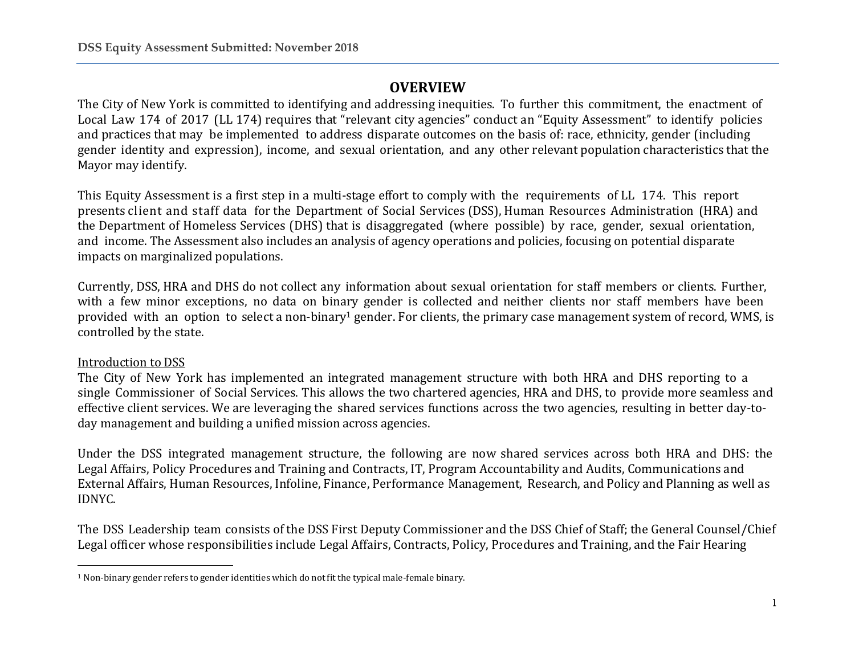# **OVERVIEW**

The City of New York is committed to identifying and addressing inequities. To further this commitment, the enactment of Local Law 174 of 2017 (LL 174) requires that "relevant city agencies" conduct an "Equity Assessment" to identify policies and practices that may be implemented to address disparate outcomes on the basis of: race, ethnicity, gender (including gender identity and expression), income, and sexual orientation, and any other relevant population characteristics that the Mayor may identify.

This Equity Assessment is a first step in a multi-stage effort to comply with the requirements of LL 174. This report presents client and staff data for the Department of Social Services (DSS), Human Resources Administration (HRA) and the Department of Homeless Services (DHS) that is disaggregated (where possible) by race, gender, sexual orientation, and income. The Assessment also includes an analysis of agency operations and policies, focusing on potential disparate impacts on marginalized populations.

Currently, DSS, HRA and DHS do not collect any information about sexual orientation for staff members or clients. Further, with a few minor exceptions, no data on binary gender is collected and neither clients nor staff members have been provided with an option to select a non-binary<sup>1</sup> gender. For clients, the primary case management system of record, WMS, is controlled by the state.

### Introduction to DSS

The City of New York has implemented an integrated management structure with both HRA and DHS reporting to a single Commissioner of Social Services. This allows the two chartered agencies, HRA and DHS, to provide more seamless and effective client services. We are leveraging the shared services functions across the two agencies, resulting in better day-today management and building a unified mission across agencies.

Under the DSS integrated management structure, the following are now shared services across both HRA and DHS: the Legal Affairs, Policy Procedures and Training and Contracts, IT, Program Accountability and Audits, Communications and External Affairs, Human Resources, Infoline, Finance, Performance Management, Research, and Policy and Planning as well as IDNYC.

The DSS Leadership team consists of the DSS First Deputy Commissioner and the DSS Chief of Staff; the General Counsel/Chief Legal officer whose responsibilities include Legal Affairs, Contracts, Policy, Procedures and Training, and the Fair Hearing

 $\overline{\phantom{a}}$  $1$  Non-binary gender refers to gender identities which do not fit the typical male-female binary.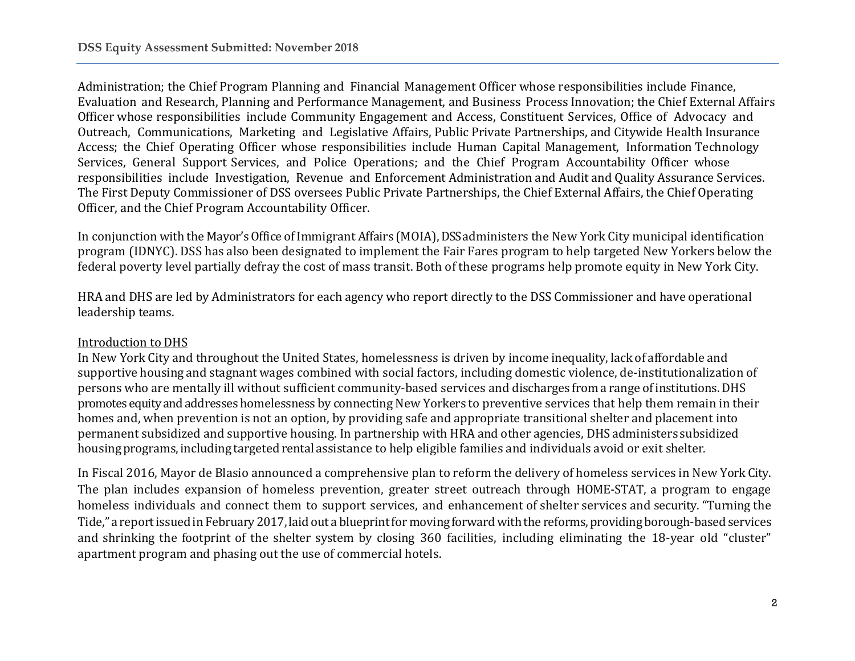Administration; the Chief Program Planning and Financial Management Officer whose responsibilities include Finance, Evaluation and Research, Planning and Performance Management, and Business Process Innovation; the Chief External Affairs Officer whose responsibilities include Community Engagement and Access, Constituent Services, Office of Advocacy and Outreach, Communications, Marketing and Legislative Affairs, Public Private Partnerships, and Citywide Health Insurance Access; the Chief Operating Officer whose responsibilities include Human Capital Management, Information Technology Services, General Support Services, and Police Operations; and the Chief Program Accountability Officer whose responsibilities include Investigation, Revenue and Enforcement Administration and Audit and Quality Assurance Services. The First Deputy Commissioner of DSS oversees Public Private Partnerships, the Chief External Affairs, the Chief Operating Officer, and the Chief Program Accountability Officer.

In conjunction with the Mayor's Office of Immigrant Affairs (MOIA), DSS administers the New York City municipal identification program (IDNYC). DSS has also been designated to implement the Fair Fares program to help targeted New Yorkers below the federal poverty level partially defray the cost of mass transit. Both of these programs help promote equity in New York City.

HRA and DHS are led by Administrators for each agency who report directly to the DSS Commissioner and have operational leadership teams.

### Introduction to DHS

In New York City and throughout the United States, homelessness is driven by income inequality, lack of affordable and supportive housing and stagnant wages combined with social factors, including domestic violence, de-institutionalization of persons who are mentally ill without sufficient community-based services and discharges from a range of institutions. DHS promotes equity and addresses homelessness by connecting New Yorkers to preventive services that help them remain in their homes and, when prevention is not an option, by providing safe and appropriate transitional shelter and placement into permanent subsidized and supportive housing. In partnership with HRA and other agencies, DHSadministers subsidized housing programs, including targeted rental assistance to help eligible families and individuals avoid or exit shelter.

In Fiscal 2016, Mayor de Blasio announced a comprehensive plan to reform the delivery of homeless services in New York City. The plan includes expansion of homeless prevention, greater street outreach through HOME-STAT, a program to engage homeless individuals and connect them to support services, and enhancement of shelter services and security. "Turning the Tide," a reportissued in February 2017, laid out a blueprint for moving forward with the reforms, providing borough-based services and shrinking the footprint of the shelter system by closing 360 facilities, including eliminating the 18-year old "cluster" apartment program and phasing out the use of commercial hotels.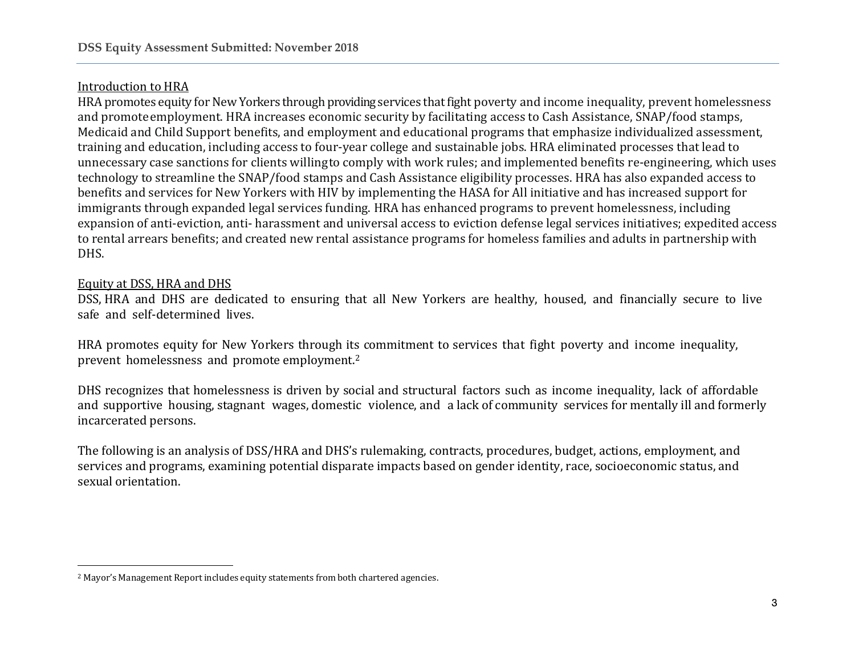### Introduction to HRA

HRA promotes equity for New Yorkers through providing services that fight poverty and income inequality, prevent homelessness and promoteemployment. HRA increases economic security by facilitating access to Cash Assistance, SNAP/food stamps, Medicaid and Child Support benefits, and employment and educational programs that emphasize individualized assessment, training and education, including access to four-year college and sustainable jobs. HRA eliminated processes that lead to unnecessary case sanctions for clients willingto comply with work rules; and implemented benefits re-engineering, which uses technology to streamline the SNAP/food stamps and Cash Assistance eligibility processes. HRA has also expanded access to benefits and services for New Yorkers with HIV by implementing the HASA for All initiative and has increased support for immigrants through expanded legal services funding. HRA has enhanced programs to prevent homelessness, including expansion of anti-eviction, anti- harassment and universal access to eviction defense legal services initiatives; expedited access to rental arrears benefits; and created new rental assistance programs for homeless families and adults in partnership with DHS.

### Equity at DSS, HRA and DHS

 $\overline{\phantom{a}}$ 

DSS, HRA and DHS are dedicated to ensuring that all New Yorkers are healthy, housed, and financially secure to live safe and self-determined lives.

HRA promotes equity for New Yorkers through its commitment to services that fight poverty and income inequality, prevent homelessness and promote employment.<sup>2</sup>

DHS recognizes that homelessness is driven by social and structural factors such as income inequality, lack of affordable and supportive housing, stagnant wages, domestic violence, and a lack of community services for mentally ill and formerly incarcerated persons.

The following is an analysis of DSS/HRA and DHS's rulemaking, contracts, procedures, budget, actions, employment, and services and programs, examining potential disparate impacts based on gender identity, race, socioeconomic status, and sexual orientation.

<sup>2</sup> Mayor's Management Report includes equity statements from both chartered agencies.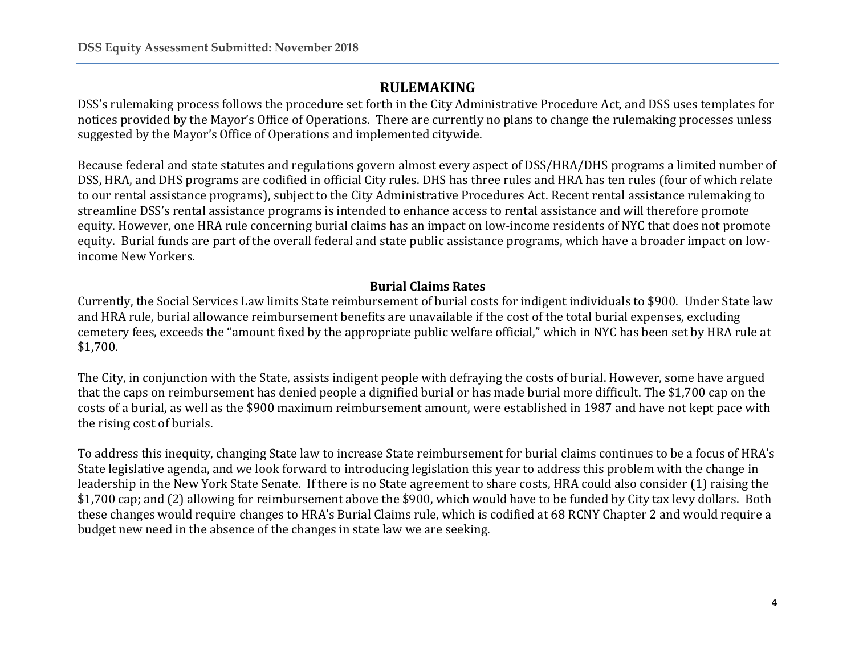# **RULEMAKING**

DSS's rulemaking process follows the procedure set forth in the City Administrative Procedure Act, and DSS uses templates for notices provided by the Mayor's Office of Operations. There are currently no plans to change the rulemaking processes unless suggested by the Mayor's Office of Operations and implemented citywide.

Because federal and state statutes and regulations govern almost every aspect of DSS/HRA/DHS programs a limited number of DSS, HRA, and DHS programs are codified in official City rules. DHS has three rules and HRA has ten rules (four of which relate to our rental assistance programs), subject to the City Administrative Procedures Act. Recent rental assistance rulemaking to streamline DSS's rental assistance programs is intended to enhance access to rental assistance and will therefore promote equity. However, one HRA rule concerning burial claims has an impact on low-income residents of NYC that does not promote equity. Burial funds are part of the overall federal and state public assistance programs, which have a broader impact on lowincome New Yorkers.

## **Burial Claims Rates**

Currently, the Social Services Law limits State reimbursement of burial costs for indigent individuals to \$900. Under State law and HRA rule, burial allowance reimbursement benefits are unavailable if the cost of the total burial expenses, excluding cemetery fees, exceeds the "amount fixed by the appropriate public welfare official," which in NYC has been set by HRA rule at \$1,700.

The City, in conjunction with the State, assists indigent people with defraying the costs of burial. However, some have argued that the caps on reimbursement has denied people a dignified burial or has made burial more difficult. The \$1,700 cap on the costs of a burial, as well as the \$900 maximum reimbursement amount, were established in 1987 and have not kept pace with the rising cost of burials.

To address this inequity, changing State law to increase State reimbursement for burial claims continues to be a focus of HRA's State legislative agenda, and we look forward to introducing legislation this year to address this problem with the change in leadership in the New York State Senate. If there is no State agreement to share costs, HRA could also consider (1) raising the \$1,700 cap; and (2) allowing for reimbursement above the \$900, which would have to be funded by City tax levy dollars. Both these changes would require changes to HRA's Burial Claims rule, which is codified at 68 RCNY Chapter 2 and would require a budget new need in the absence of the changes in state law we are seeking.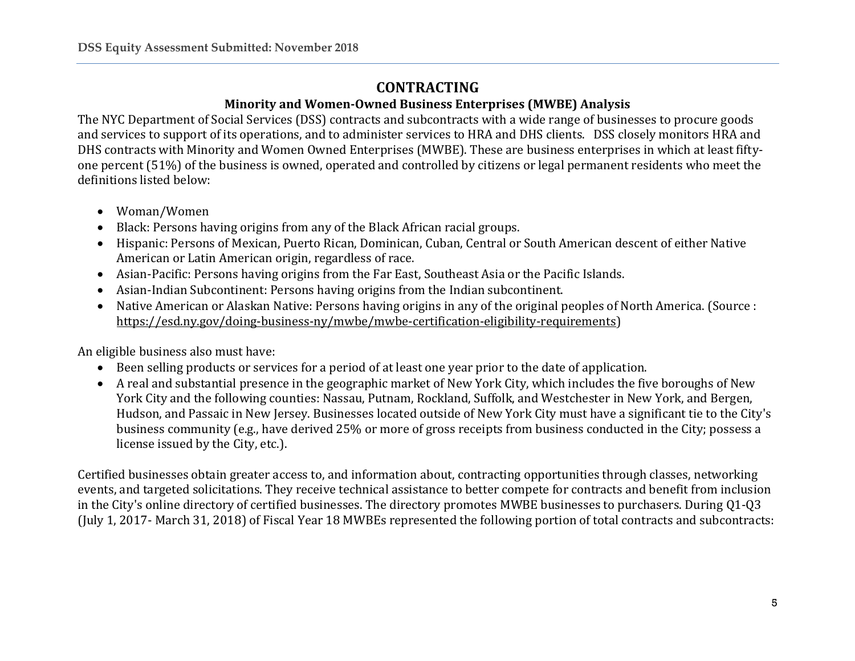# **CONTRACTING**

## **Minority and Women-Owned Business Enterprises (MWBE) Analysis**

The NYC Department of Social Services (DSS) contracts and subcontracts with a wide range of businesses to procure goods and services to support of its operations, and to administer services to HRA and DHS clients. DSS closely monitors HRA and DHS contracts with Minority and Women Owned Enterprises (MWBE). These are business enterprises in which at least fiftyone percent (51%) of the business is owned, operated and controlled by citizens or legal permanent residents who meet the definitions listed below:

- Woman/Women
- Black: Persons having origins from any of the Black African racial groups.
- Hispanic: Persons of Mexican, Puerto Rican, Dominican, Cuban, Central or South American descent of either Native American or Latin American origin, regardless of race.
- Asian-Pacific: Persons having origins from the Far East, Southeast Asia or the Pacific Islands.
- Asian-Indian Subcontinent: Persons having origins from the Indian subcontinent.
- Native American or Alaskan Native: Persons having origins in any of the original peoples of North America. (Source : [https://esd.ny.gov/doing-business-ny/mwbe/mwbe-certification-eligibility-requirements\)](https://esd.ny.gov/doing-business-ny/mwbe/mwbe-certification-eligibility-requirements)

An eligible business also must have:

- Been selling products or services for a period of at least one year prior to the date of application.
- A real and substantial presence in the geographic market of New York City, which includes the five boroughs of New York City and the following counties: Nassau, Putnam, Rockland, Suffolk, and Westchester in New York, and Bergen, Hudson, and Passaic in New Jersey. Businesses located outside of New York City must have a significant tie to the City's business community (e.g., have derived 25% or more of gross receipts from business conducted in the City; possess a license issued by the City, etc.).

Certified businesses obtain greater access to, and information about, contracting opportunities through classes, networking events, and targeted solicitations. They receive technical assistance to better compete for contracts and benefit from inclusion in the City's online directory of certified businesses. The directory promotes MWBE businesses to purchasers. During Q1-Q3 (July 1, 2017- March 31, 2018) of Fiscal Year 18 MWBEs represented the following portion of total contracts and subcontracts: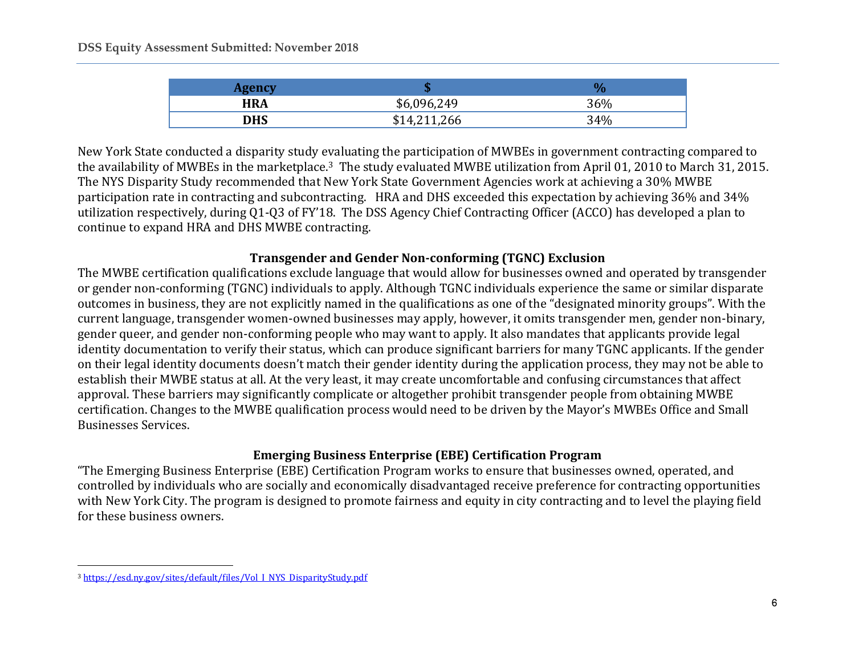| <b>HRA</b> | \$6,096,249 | 36% |
|------------|-------------|-----|
| <b>DHS</b> | ,211,266    | 34% |

New York State conducted a disparity study evaluating the participation of MWBEs in government contracting compared to the availability of MWBEs in the marketplace.3 The study evaluated MWBE utilization from April 01, 2010 to March 31, 2015. The NYS Disparity Study recommended that New York State Government Agencies work at achieving a 30% MWBE participation rate in contracting and subcontracting. HRA and DHS exceeded this expectation by achieving 36% and 34% utilization respectively, during Q1-Q3 of FY'18. The DSS Agency Chief Contracting Officer (ACCO) has developed a plan to continue to expand HRA and DHS MWBE contracting.

### **Transgender and Gender Non-conforming (TGNC) Exclusion**

The MWBE certification qualifications exclude language that would allow for businesses owned and operated by transgender or gender non-conforming (TGNC) individuals to apply. Although TGNC individuals experience the same or similar disparate outcomes in business, they are not explicitly named in the qualifications as one of the "designated minority groups". With the current language, transgender women-owned businesses may apply, however, it omits transgender men, gender non-binary, gender queer, and gender non-conforming people who may want to apply. It also mandates that applicants provide legal identity documentation to verify their status, which can produce significant barriers for many TGNC applicants. If the gender on their legal identity documents doesn't match their gender identity during the application process, they may not be able to establish their MWBE status at all. At the very least, it may create uncomfortable and confusing circumstances that affect approval. These barriers may significantly complicate or altogether prohibit transgender people from obtaining MWBE certification. Changes to the MWBE qualification process would need to be driven by the Mayor's MWBEs Office and Small Businesses Services.

# **Emerging Business Enterprise (EBE) Certification Program**

"The Emerging Business Enterprise (EBE) Certification Program works to ensure that businesses owned, operated, and controlled by individuals who are socially and economically disadvantaged receive preference for contracting opportunities with New York City. The program is designed to promote fairness and equity in city contracting and to level the playing field for these business owners.

 $\overline{\phantom{a}}$ <sup>3</sup> [https://esd.ny.gov/sites/default/files/Vol\\_I\\_NYS\\_DisparityStudy.pdf](https://esd.ny.gov/sites/default/files/Vol_I_NYS_DisparityStudy.pdf)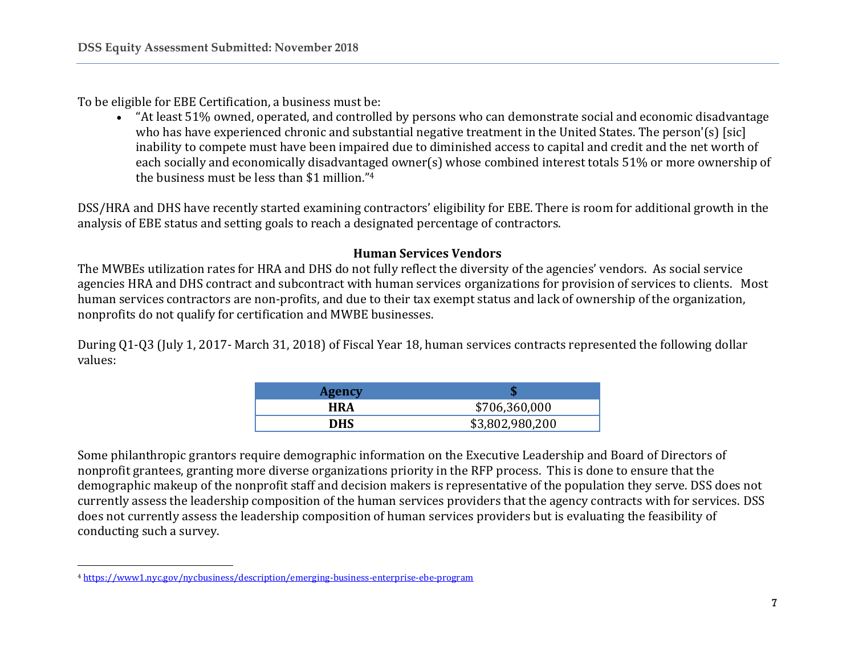To be eligible for EBE Certification, a business must be:

• "At least 51% owned, operated, and controlled by persons who can demonstrate social and economic disadvantage who has have experienced chronic and substantial negative treatment in the United States. The person'(s) [sic] inability to compete must have been impaired due to diminished access to capital and credit and the net worth of each socially and economically disadvantaged owner(s) whose combined interest totals 51% or more ownership of the business must be less than \$1 million."<sup>4</sup>

DSS/HRA and DHS have recently started examining contractors' eligibility for EBE. There is room for additional growth in the analysis of EBE status and setting goals to reach a designated percentage of contractors.

### **Human Services Vendors**

The MWBEs utilization rates for HRA and DHS do not fully reflect the diversity of the agencies' vendors. As social service agencies HRA and DHS contract and subcontract with human services organizations for provision of services to clients. Most human services contractors are non-profits, and due to their tax exempt status and lack of ownership of the organization, nonprofits do not qualify for certification and MWBE businesses.

During Q1-Q3 (July 1, 2017- March 31, 2018) of Fiscal Year 18, human services contracts represented the following dollar values:

| <b>Agency</b> |                 |
|---------------|-----------------|
| <b>HRA</b>    | \$706,360,000   |
| DHS           | \$3,802,980,200 |

Some philanthropic grantors require demographic information on the Executive Leadership and Board of Directors of nonprofit grantees, granting more diverse organizations priority in the RFP process. This is done to ensure that the demographic makeup of the nonprofit staff and decision makers is representative of the population they serve. DSS does not currently assess the leadership composition of the human services providers that the agency contracts with for services. DSS does not currently assess the leadership composition of human services providers but is evaluating the feasibility of conducting such a survey.

 $\overline{\phantom{a}}$ <sup>4</sup> <https://www1.nyc.gov/nycbusiness/description/emerging-business-enterprise-ebe-program>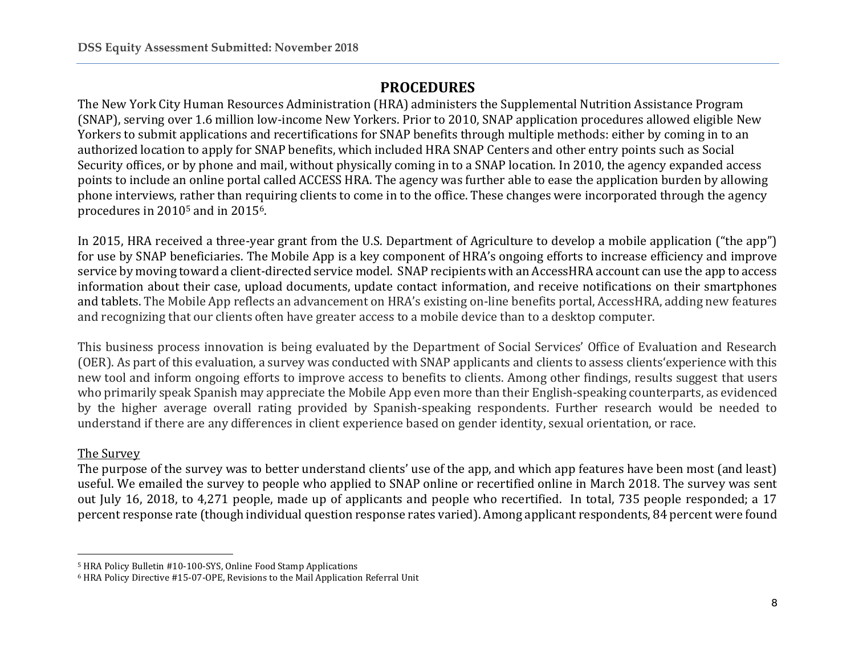# **PROCEDURES**

The New York City Human Resources Administration (HRA) administers the Supplemental Nutrition Assistance Program (SNAP), serving over 1.6 million low-income New Yorkers. Prior to 2010, SNAP application procedures allowed eligible New Yorkers to submit applications and recertifications for SNAP benefits through multiple methods: either by coming in to an authorized location to apply for SNAP benefits, which included HRA SNAP Centers and other entry points such as Social Security offices, or by phone and mail, without physically coming in to a SNAP location. In 2010, the agency expanded access points to include an online portal called ACCESS HRA. The agency was further able to ease the application burden by allowing phone interviews, rather than requiring clients to come in to the office. These changes were incorporated through the agency procedures in 2010<sup>5</sup> and in 20156.

In 2015, HRA received a three-year grant from the U.S. Department of Agriculture to develop a mobile application ("the app") for use by SNAP beneficiaries. The Mobile App is a key component of HRA's ongoing efforts to increase efficiency and improve service by moving toward a client-directed service model. SNAP recipients with an AccessHRA account can use the app to access information about their case, upload documents, update contact information, and receive notifications on their smartphones and tablets. The Mobile App reflects an advancement on HRA's existing on-line benefits portal, AccessHRA, adding new features and recognizing that our clients often have greater access to a mobile device than to a desktop computer.

This business process innovation is being evaluated by the Department of Social Services' Office of Evaluation and Research (OER). As part of this evaluation, a survey was conducted with SNAP applicants and clients to assess clients'experience with this new tool and inform ongoing efforts to improve access to benefits to clients. Among other findings, results suggest that users who primarily speak Spanish may appreciate the Mobile App even more than their English-speaking counterparts, as evidenced by the higher average overall rating provided by Spanish-speaking respondents. Further research would be needed to understand if there are any differences in client experience based on gender identity, sexual orientation, or race.

## The Survey

The purpose of the survey was to better understand clients' use of the app, and which app features have been most (and least) useful. We emailed the survey to people who applied to SNAP online or recertified online in March 2018. The survey was sent out July 16, 2018, to 4,271 people, made up of applicants and people who recertified. In total, 735 people responded; a 17 percent response rate (though individual question response rates varied). Among applicant respondents, 84 percent were found

l <sup>5</sup> HRA Policy Bulletin #10-100-SYS, Online Food Stamp Applications

<sup>6</sup> HRA Policy Directive #15-07-OPE, Revisions to the Mail Application Referral Unit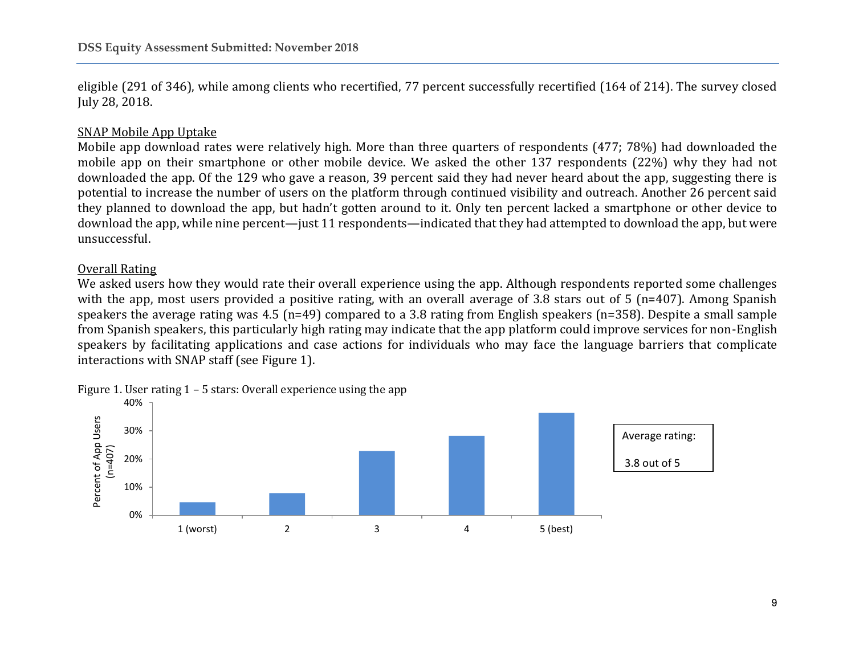eligible (291 of 346), while among clients who recertified, 77 percent successfully recertified (164 of 214). The survey closed July 28, 2018.

### SNAP Mobile App Uptake

Mobile app download rates were relatively high. More than three quarters of respondents (477; 78%) had downloaded the mobile app on their smartphone or other mobile device. We asked the other 137 respondents (22%) why they had not downloaded the app. Of the 129 who gave a reason, 39 percent said they had never heard about the app, suggesting there is potential to increase the number of users on the platform through continued visibility and outreach. Another 26 percent said they planned to download the app, but hadn't gotten around to it. Only ten percent lacked a smartphone or other device to download the app, while nine percent—just 11 respondents—indicated that they had attempted to download the app, but were unsuccessful.

### Overall Rating

We asked users how they would rate their overall experience using the app. Although respondents reported some challenges with the app, most users provided a positive rating, with an overall average of 3.8 stars out of 5 (n=407). Among Spanish speakers the average rating was 4.5 (n=49) compared to a 3.8 rating from English speakers (n=358). Despite a small sample from Spanish speakers, this particularly high rating may indicate that the app platform could improve services for non-English speakers by facilitating applications and case actions for individuals who may face the language barriers that complicate interactions with SNAP staff (see Figure 1).

Figure 1. User rating 1 – 5 stars: Overall experience using the app

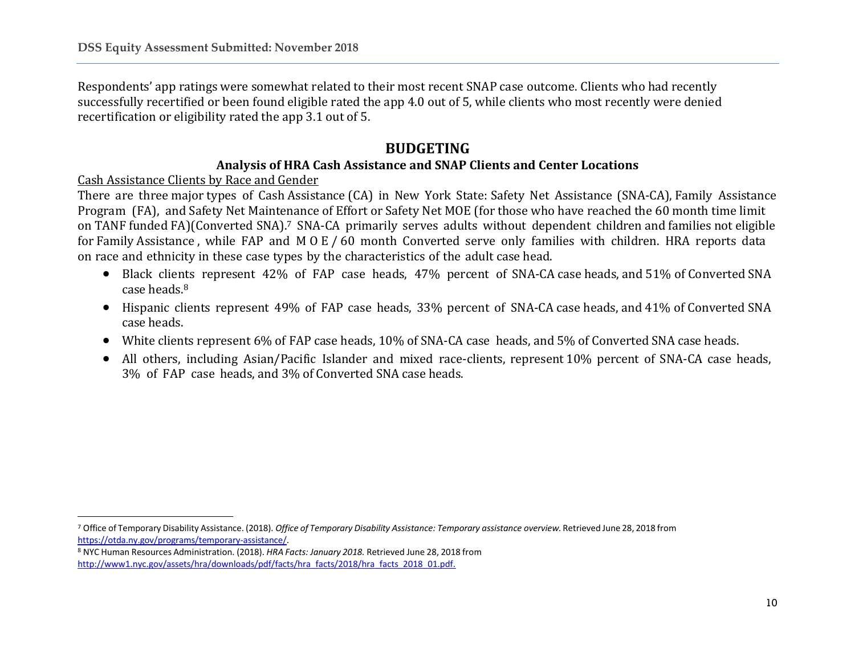Respondents' app ratings were somewhat related to their most recent SNAP case outcome. Clients who had recently successfully recertified or been found eligible rated the app 4.0 out of 5, while clients who most recently were denied recertification or eligibility rated the app 3.1 out of 5.

# **BUDGETING**

### **Analysis of HRA Cash Assistance and SNAP Clients and Center Locations**

Cash Assistance Clients by Race and Gender

 $\overline{\phantom{a}}$ 

There are three major types of Cash Assistance (CA) in New York State: Safety Net Assistance (SNA-CA), Family Assistance Program (FA), and Safety Net Maintenance of Effort or Safety Net MOE (for those who have reached the 60 month time limit on TANF funded FA)(Converted SNA).<sup>7</sup> SNA-CA primarily serves adults without dependent children and families not eligible for Family Assistance , while FAP and M O E / 60 month Converted serve only families with children. HRA reports data on race and ethnicity in these case types by the characteristics of the adult case head.

- Black clients represent 42% of FAP case heads, 47% percent of SNA-CA case heads, and 51% of Converted SNA case heads.<sup>8</sup>
- Hispanic clients represent 49% of FAP case heads, 33% percent of SNA-CA case heads, and 41% of Converted SNA case heads.
- White clients represent 6% of FAP case heads, 10% of SNA-CA case heads, and 5% of Converted SNA case heads.
- All others, including Asian/Pacific Islander and mixed race-clients, represent 10% percent of SNA-CA case heads, 3% of FAP case heads, and 3% of Converted SNA case heads.

<sup>7</sup> Office of Temporary Disability Assistance. (2018). *Office of Temporary Disability Assistance: Temporary assistance overview.* Retrieved June 28, 2018 from [https://otda.ny.gov/programs/temporary-assistance/.](https://otda.ny.gov/programs/temporary-assistance/)

<sup>8</sup> NYC Human Resources Administration. (2018). *HRA Facts: January 2018.* Retrieved June 28, 2018 from [http://www1.nyc.gov/assets/hra/downloads/pdf/facts/hra\\_facts/2018/hra\\_facts\\_2018\\_01.pdf.](http://www1.nyc.gov/assets/hra/downloads/pdf/facts/hra_facts/2018/hra_facts_2018_01.pdf)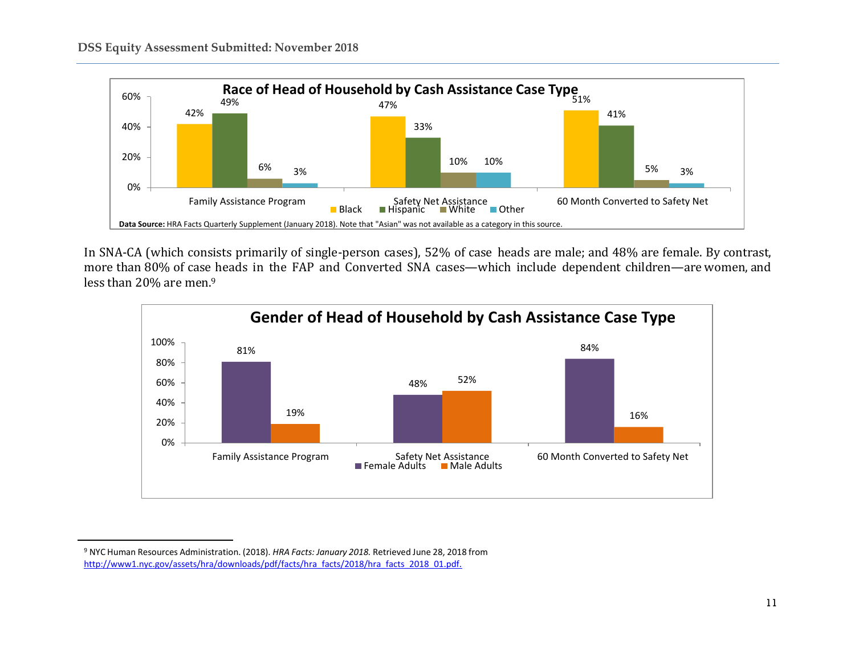

In SNA-CA (which consists primarily of single-person cases), 52% of case heads are male; and 48% are female. By contrast, more than 80% of case heads in the FAP and Converted SNA cases—which include dependent children—are women, and less than 20% are men.<sup>9</sup>



l

<sup>9</sup> NYC Human Resources Administration. (2018). *HRA Facts: January 2018.* Retrieved June 28, 2018 from [http://www1.nyc.gov/assets/hra/downloads/pdf/facts/hra\\_facts/2018/hra\\_facts\\_2018\\_01.pdf.](http://www1.nyc.gov/assets/hra/downloads/pdf/facts/hra_facts/2018/hra_facts_2018_01.pdf)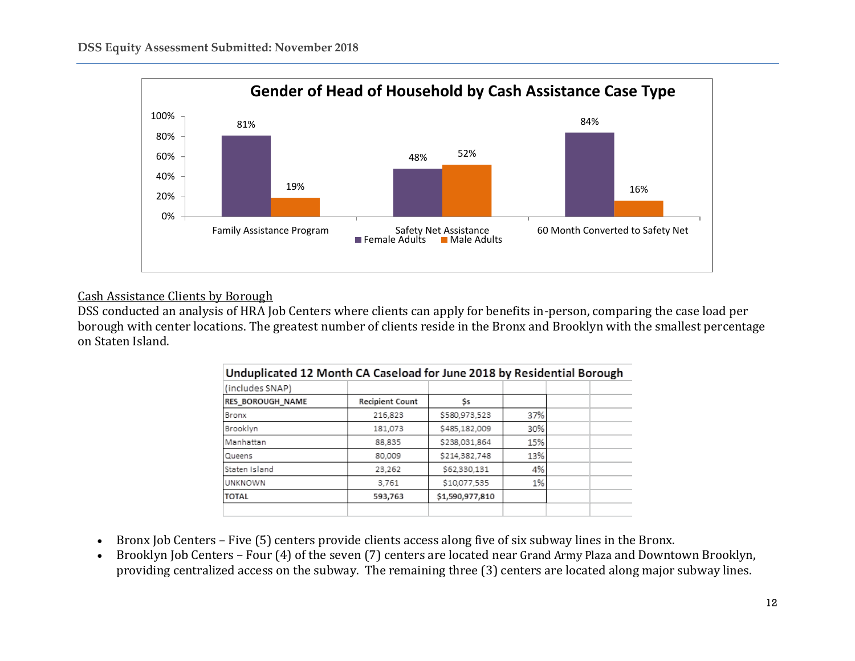

### Cash Assistance Clients by Borough

DSS conducted an analysis of HRA Job Centers where clients can apply for benefits in-person, comparing the case load per borough with center locations. The greatest number of clients reside in the Bronx and Brooklyn with the smallest percentage on Staten Island.

| Unduplicated 12 Month CA Caseload for June 2018 by Residential Borough |                        |                 |     |  |  |  |  |  |  |
|------------------------------------------------------------------------|------------------------|-----------------|-----|--|--|--|--|--|--|
| (includes SNAP)                                                        |                        |                 |     |  |  |  |  |  |  |
| <b>RES BOROUGH NAME</b>                                                | <b>Recipient Count</b> | Ss              |     |  |  |  |  |  |  |
| Bronx                                                                  | 216,823                | \$580,973,523   | 37% |  |  |  |  |  |  |
| Brooklyn                                                               | 181,073                | \$485,182,009   | 30% |  |  |  |  |  |  |
| Manhattan                                                              | 88.835                 | \$238,031,864   | 15% |  |  |  |  |  |  |
| Queens                                                                 | 80,009                 | \$214,382,748   | 13% |  |  |  |  |  |  |
| Staten Island                                                          | 23.262                 | \$62,330,131    | 4%  |  |  |  |  |  |  |
| <b>UNKNOWN</b>                                                         | 3,761                  | \$10,077,535    | 1%  |  |  |  |  |  |  |
| <b>TOTAL</b>                                                           | 593,763                | \$1,590,977,810 |     |  |  |  |  |  |  |
|                                                                        |                        |                 |     |  |  |  |  |  |  |

#### **Sales Street**  $\overline{\phantom{a}}$  $\cdots$

- Bronx Job Centers Five (5) centers provide clients access along five of six subway lines in the Bronx.
- Brooklyn Job Centers Four (4) of the seven (7) centers are located near Grand Army Plaza and Downtown Brooklyn, providing centralized access on the subway. The remaining three (3) centers are located along major subway lines.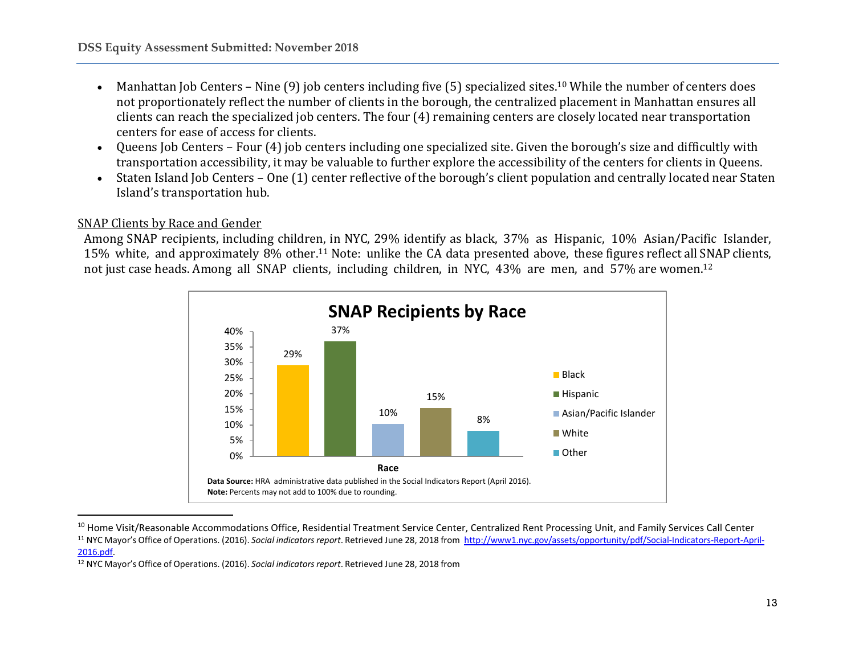- Manhattan Job Centers Nine  $(9)$  job centers including five  $(5)$  specialized sites.<sup>10</sup> While the number of centers does not proportionately reflect the number of clients in the borough, the centralized placement in Manhattan ensures all clients can reach the specialized job centers. The four (4) remaining centers are closely located near transportation centers for ease of access for clients.
- Queens Job Centers Four (4) job centers including one specialized site. Given the borough's size and difficultly with transportation accessibility, it may be valuable to further explore the accessibility of the centers for clients in Queens.
- Staten Island Job Centers One (1) center reflective of the borough's client population and centrally located near Staten Island's transportation hub.

### SNAP Clients by Race and Gender

 $\overline{\phantom{a}}$ 

Among SNAP recipients, including children, in NYC, 29% identify as black, 37% as Hispanic, 10% Asian/Pacific Islander, 15% white, and approximately 8% other.<sup>11</sup> Note: unlike the CA data presented above, these figures reflect allSNAP clients, not just case heads. Among all SNAP clients, including children, in NYC, 43% are men, and 57% are women.<sup>12</sup>



<sup>&</sup>lt;sup>10</sup> Home Visit/Reasonable Accommodations Office, Residential Treatment Service Center, Centralized Rent Processing Unit, and Family Services Call Center <sup>11</sup> NYC Mayor's Office of Operations. (2016). *Social indicatorsreport*. Retrieved June 28, 2018 from [http://www1.nyc.gov/assets/opportunity/pdf/Social-Indicators-Report-April-](http://www1.nyc.gov/assets/opportunity/pdf/Social-Indicators-Report-April-2016.pdf)[2016.pdf.](http://www1.nyc.gov/assets/opportunity/pdf/Social-Indicators-Report-April-2016.pdf)

<sup>&</sup>lt;sup>12</sup> NYC Mayor's Office of Operations. (2016). *Social indicators report*. Retrieved June 28, 2018 from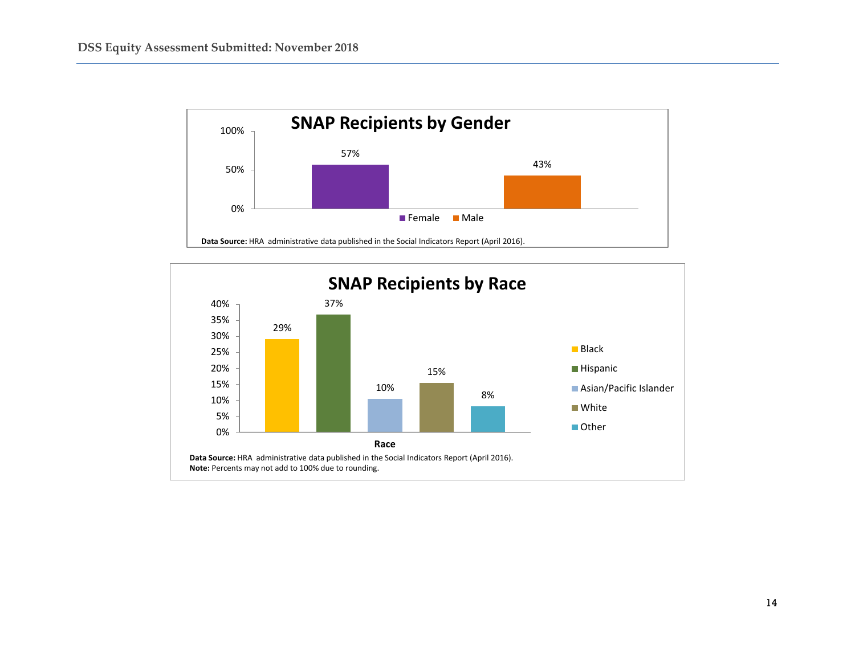

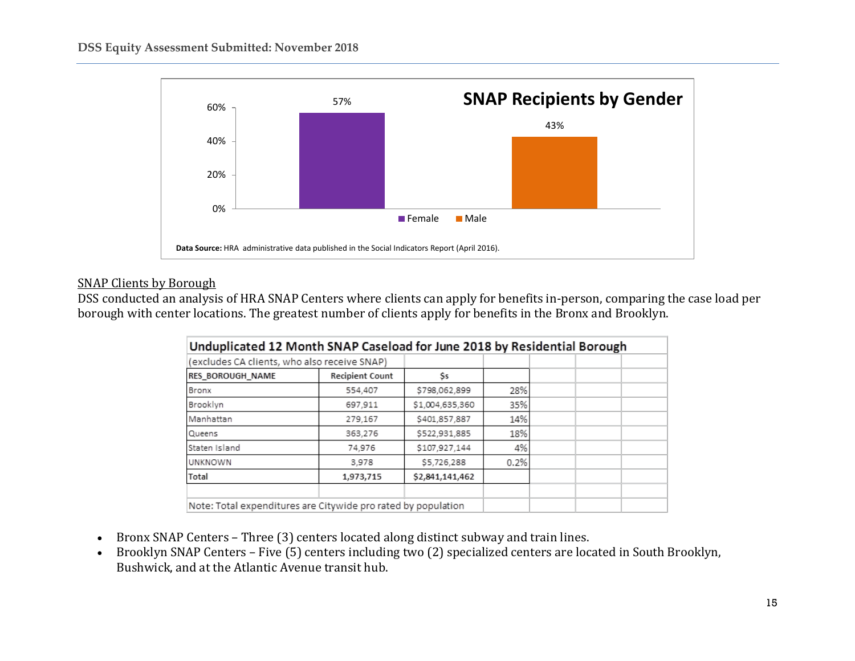

### SNAP Clients by Borough

DSS conducted an analysis of HRA SNAP Centers where clients can apply for benefits in-person, comparing the case load per borough with center locations. The greatest number of clients apply for benefits in the Bronx and Brooklyn.

| Unduplicated 12 Month SNAP Caseload for June 2018 by Residential Borough |                        |                 |      |  |
|--------------------------------------------------------------------------|------------------------|-----------------|------|--|
| (excludes CA clients, who also receive SNAP)                             |                        |                 |      |  |
| <b>RES BOROUGH NAME</b>                                                  | <b>Recipient Count</b> | Ss              |      |  |
| Bronx                                                                    | 554,407                | \$798,062,899   | 28%  |  |
| Brooklyn                                                                 | 697,911                | \$1,004,635,360 | 35%  |  |
| Manhattan                                                                | 279,167                | \$401,857,887   | 14%  |  |
| Queens                                                                   | 363,276                | \$522,931,885   | 18%  |  |
| Staten Island                                                            | 74,976                 | \$107,927,144   | 4%   |  |
| <b>UNKNOWN</b>                                                           | 3.978                  | \$5,726,288     | 0.2% |  |
| <b>Total</b>                                                             | 1,973,715              | \$2,841,141,462 |      |  |
|                                                                          |                        |                 |      |  |
| Note: Total expenditures are Citywide pro rated by population            |                        |                 |      |  |

- Bronx SNAP Centers Three (3) centers located along distinct subway and train lines.
- Brooklyn SNAP Centers Five (5) centers including two (2) specialized centers are located in South Brooklyn, Bushwick, and at the Atlantic Avenue transit hub.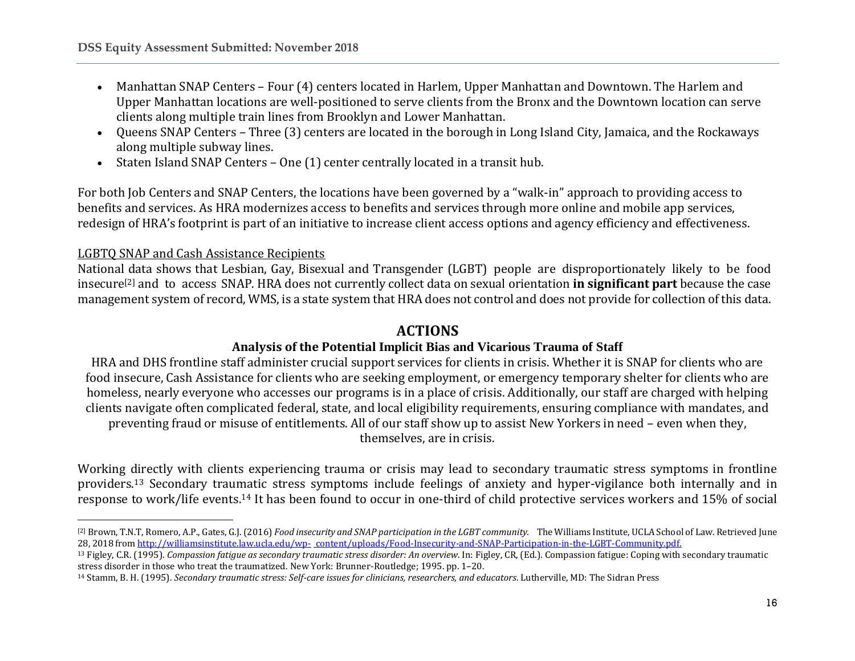- Manhattan SNAP Centers Four (4) centers located in Harlem, Upper Manhattan and Downtown. The Harlem and Upper Manhattan locations are well-positioned to serve clients from the Bronx and the Downtown location can serve clients along multiple train lines from Brooklyn and Lower Manhattan.
- Queens SNAP Centers Three (3) centers are located in the borough in Long Island City, Jamaica, and the Rockaways along multiple subway lines.
- Staten Island SNAP Centers One (1) center centrally located in a transit hub.

For both Job Centers and SNAP Centers, the locations have been governed by a "walk-in" approach to providing access to benefits and services. As HRA modernizes access to benefits and services through more online and mobile app services, redesign of HRA's footprint is part of an initiative to increase client access options and agency efficiency and effectiveness.

### LGBTQ SNAP and Cash Assistance Recipients

 $\overline{\phantom{a}}$ 

National data shows that Lesbian, Gay, Bisexual and Transgender (LGBT) people are disproportionately likely to be food insecure[2] and to access SNAP. HRA does not currently collect data on sexual orientation **in significant part** because the case management system of record, WMS, is a state system that HRA does not control and does not provide for collection of this data.

### **ACTIONS**

## **Analysis of the Potential Implicit Bias and Vicarious Trauma of Staff**

HRA and DHS frontline staff administer crucial support services for clients in crisis. Whether it is SNAP for clients who are food insecure, Cash Assistance for clients who are seeking employment, or emergency temporary shelter for clients who are homeless, nearly everyone who accesses our programs is in a place of crisis. Additionally, our staff are charged with helping clients navigate often complicated federal, state, and local eligibility requirements, ensuring compliance with mandates, and preventing fraud or misuse of entitlements. All of our staff show up to assist New Yorkers in need – even when they, themselves, are in crisis.

Working directly with clients experiencing trauma or crisis may lead to secondary traumatic stress symptoms in frontline providers.<sup>13</sup> Secondary traumatic stress symptoms include feelings of anxiety and hyper-vigilance both internally and in response to work/life events.<sup>14</sup> It has been found to occur in one-third of child protective services workers and 15% of social

<sup>[2]</sup> Brown, T.N.T, Romero, A.P., Gates, G.J. (2016) Food insecurity and SNAP participation in the LGBT community. The Williams Institute, UCLA School of Law. Retrieved June 28, 2018 from [http://williamsinstitute.law.ucla.edu/wp-](http://williamsinstitute.law.ucla.edu/wp-content/uploads/Food-Insecurity-and-SNAP-Participation-in-the-LGBT-Community.pdf) [content/uploads/Food-Insecurity-and-SNAP-Participation-in-the-LGBT-Community.pdf.](http://williamsinstitute.law.ucla.edu/wp-content/uploads/Food-Insecurity-and-SNAP-Participation-in-the-LGBT-Community.pdf)

<sup>13</sup> Figley, C.R. (1995). *Compassion fatigue as secondary traumatic stress disorder: An overview*. In: Figley, CR, (Ed.). Compassion fatigue: Coping with secondary traumatic stress disorder in those who treat the traumatized. New York: Brunner-Routledge; 1995. pp. 1–20.

<sup>14</sup> Stamm, B. H. (1995). *Secondary traumatic stress: Self-care issues for clinicians, researchers, and educators*. Lutherville, MD: The Sidran Press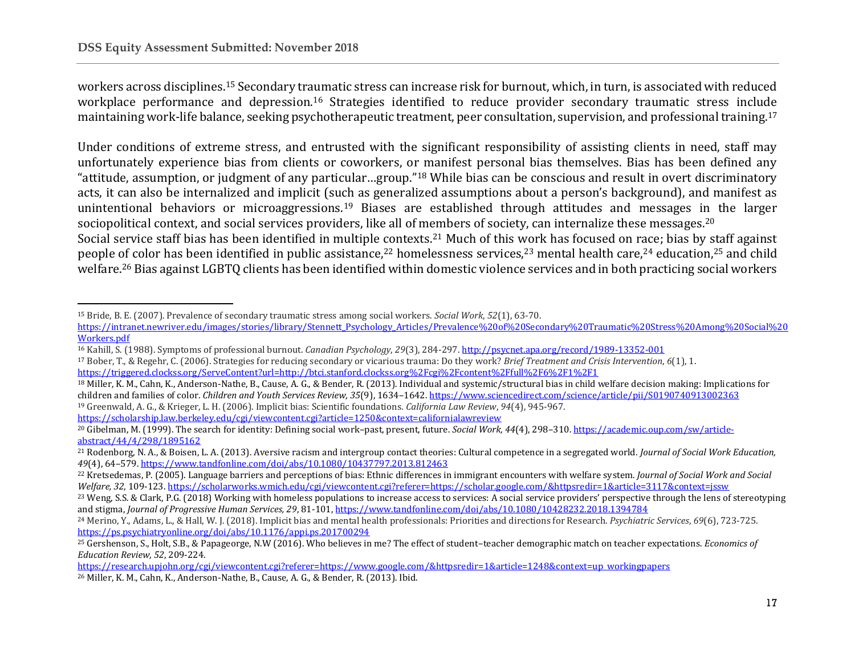l

workers across disciplines.<sup>15</sup> Secondary traumatic stress can increase risk for burnout, which, in turn, is associated with reduced workplace performance and depression.<sup>16</sup> Strategies identified to reduce provider secondary traumatic stress include maintaining work-life balance, seeking psychotherapeutic treatment, peer consultation, supervision, and professional training.<sup>17</sup>

Under conditions of extreme stress, and entrusted with the significant responsibility of assisting clients in need, staff may unfortunately experience bias from clients or coworkers, or manifest personal bias themselves. Bias has been defined any "attitude, assumption, or judgment of any particular…group."<sup>18</sup> While bias can be conscious and result in overt discriminatory acts, it can also be internalized and implicit (such as generalized assumptions about a person's background), and manifest as unintentional behaviors or microaggressions.<sup>19</sup> Biases are established through attitudes and messages in the larger sociopolitical context, and social services providers, like all of members of society, can internalize these messages.<sup>20</sup>

Social service staff bias has been identified in multiple contexts.<sup>21</sup> Much of this work has focused on race; bias by staff against people of color has been identified in public assistance,<sup>22</sup> homelessness services,<sup>23</sup> mental health care,<sup>24</sup> education,<sup>25</sup> and child welfare.<sup>26</sup> Bias against LGBTQ clients has been identified within domestic violence services and in both practicing social workers

<https://scholarship.law.berkeley.edu/cgi/viewcontent.cgi?article=1250&context=californialawreview>

<sup>15</sup> Bride, B. E. (2007). Prevalence of secondary traumatic stress among social workers. *Social Work*, *52*(1), 63-70.

[https://intranet.newriver.edu/images/stories/library/Stennett\\_Psychology\\_Articles/Prevalence%20of%20Secondary%20Traumatic%20Stress%20Among%20Social%20](https://intranet.newriver.edu/images/stories/library/Stennett_Psychology_Articles/Prevalence%20of%20Secondary%20Traumatic%20Stress%20Among%20Social%20Workers.pdf) [Workers.pdf](https://intranet.newriver.edu/images/stories/library/Stennett_Psychology_Articles/Prevalence%20of%20Secondary%20Traumatic%20Stress%20Among%20Social%20Workers.pdf)

<sup>16</sup> Kahill, S. (1988). Symptoms of professional burnout. *Canadian Psychology*, *29*(3), 284-297[. http://psycnet.apa.org/record/1989-13352-001](http://psycnet.apa.org/record/1989-13352-001)

<sup>17</sup> Bober, T., & Regehr, C. (2006). Strategies for reducing secondary or vicarious trauma: Do they work? *Brief Treatment and Crisis Intervention*, *6*(1), 1. <https://triggered.clockss.org/ServeContent?url=http://btci.stanford.clockss.org%2Fcgi%2Fcontent%2Ffull%2F6%2F1%2F1>

<sup>18</sup> Miller, K. M., Cahn, K., Anderson-Nathe, B., Cause, A. G., & Bender, R. (2013). Individual and systemic/structural bias in child welfare decision making: Implications for children and families of color. *Children and Youth Services Review, 35*(9), 1634–1642.<https://www.sciencedirect.com/science/article/pii/S0190740913002363> <sup>19</sup> Greenwald, A. G., & Krieger, L. H. (2006). Implicit bias: Scientific foundations. *California Law Review*, *94*(4), 945-967.

<sup>20</sup> Gibelman, M. (1999). The search for identity: Defining social work–past, present, future. *Social Work, 44*(4), 298–310[. https://academic.oup.com/sw/article](https://academic.oup.com/sw/article-abstract/44/4/298/1895162)[abstract/44/4/298/1895162](https://academic.oup.com/sw/article-abstract/44/4/298/1895162)

<sup>21</sup> Rodenborg, N. A., & Boisen, L. A. (2013). Aversive racism and intergroup contact theories: Cultural competence in a segregated world. *Journal of Social Work Education, 49*(4), 64–579[. https://www.tandfonline.com/doi/abs/10.1080/10437797.2013.812463](https://www.tandfonline.com/doi/abs/10.1080/10437797.2013.812463)

<sup>22</sup> Kretsedemas, P. (2005). Language barriers and perceptions of bias: Ethnic differences in immigrant encounters with welfare system. *Journal of Social Work and Social Welfare, 32*, 109-123[. https://scholarworks.wmich.edu/cgi/viewcontent.cgi?referer=https://scholar.google.com/&httpsredir=1&article=3117&context=jssw](https://scholarworks.wmich.edu/cgi/viewcontent.cgi?referer=https://scholar.google.com/&httpsredir=1&article=3117&context=jssw)

<sup>&</sup>lt;sup>23</sup> Weng, S.S. & Clark, P.G. (2018) Working with homeless populations to increase access to services: A social service providers' perspective through the lens of stereotyping and stigma, *Journal of Progressive Human Services, 29*, 81-101[, https://www.tandfonline.com/doi/abs/10.1080/10428232.2018.1394784](https://www.tandfonline.com/doi/abs/10.1080/10428232.2018.1394784)

<sup>24</sup> Merino, Y., Adams, L., & Hall, W. J. (2018). Implicit bias and mental health professionals: Priorities and directions for Research. *Psychiatric Services*, *69*(6), 723-725. <https://ps.psychiatryonline.org/doi/abs/10.1176/appi.ps.201700294>

<sup>25</sup> Gershenson, S., Holt, S.B., & Papageorge, N.W (2016). Who believes in me? The effect of student–teacher demographic match on teacher expectations. *Economics of Education Review, 52*, 209-224.

[https://research.upjohn.org/cgi/viewcontent.cgi?referer=https://www.google.com/&httpsredir=1&article=1248&context=up\\_workingpapers](https://research.upjohn.org/cgi/viewcontent.cgi?referer=https://www.google.com/&httpsredir=1&article=1248&context=up_workingpapers)

<sup>26</sup> Miller, K. M., Cahn, K., Anderson-Nathe, B., Cause, A. G., & Bender, R. (2013). Ibid.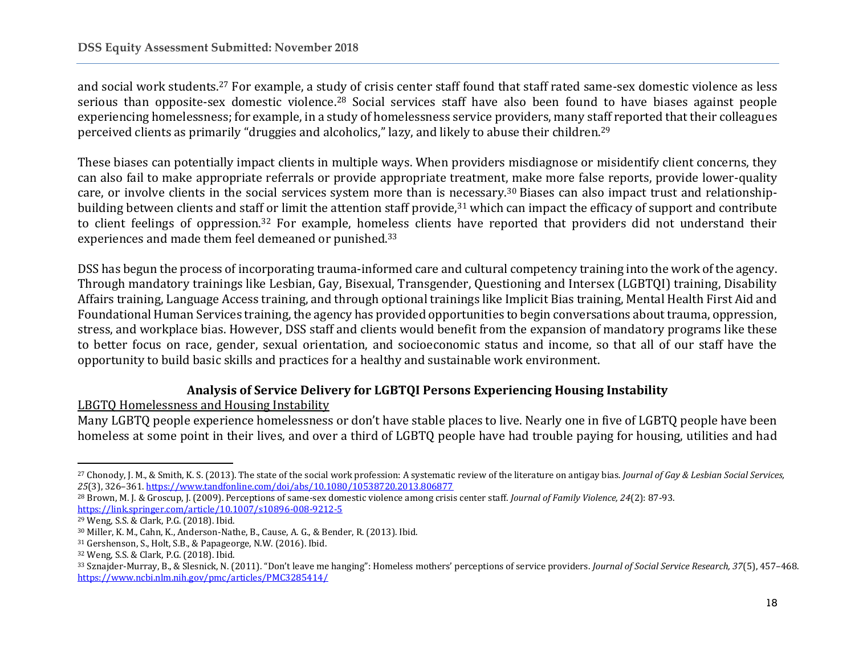and social work students.<sup>27</sup> For example, a study of crisis center staff found that staff rated same-sex domestic violence as less serious than opposite-sex domestic violence.<sup>28</sup> Social services staff have also been found to have biases against people experiencing homelessness; for example, in a study of homelessness service providers, many staff reported that their colleagues perceived clients as primarily "druggies and alcoholics," lazy, and likely to abuse their children.<sup>29</sup>

These biases can potentially impact clients in multiple ways. When providers misdiagnose or misidentify client concerns, they can also fail to make appropriate referrals or provide appropriate treatment, make more false reports, provide lower-quality care, or involve clients in the social services system more than is necessary.<sup>30</sup> Biases can also impact trust and relationshipbuilding between clients and staff or limit the attention staff provide,<sup>31</sup> which can impact the efficacy of support and contribute to client feelings of oppression.<sup>32</sup> For example, homeless clients have reported that providers did not understand their experiences and made them feel demeaned or punished.<sup>33</sup>

DSS has begun the process of incorporating trauma-informed care and cultural competency training into the work of the agency. Through mandatory trainings like Lesbian, Gay, Bisexual, Transgender, Questioning and Intersex (LGBTQI) training, Disability Affairs training, Language Access training, and through optional trainings like Implicit Bias training, Mental Health First Aid and Foundational Human Services training, the agency has provided opportunities to begin conversations about trauma, oppression, stress, and workplace bias. However, DSS staff and clients would benefit from the expansion of mandatory programs like these to better focus on race, gender, sexual orientation, and socioeconomic status and income, so that all of our staff have the opportunity to build basic skills and practices for a healthy and sustainable work environment.

## **Analysis of Service Delivery for LGBTQI Persons Experiencing Housing Instability**

LBGTQ Homelessness and Housing Instability

Many LGBTQ people experience homelessness or don't have stable places to live. Nearly one in five of LGBTQ people have been homeless at some point in their lives, and over a third of LGBTQ people have had trouble paying for housing, utilities and had

l

<sup>27</sup> Chonody, J. M., & Smith, K. S. (2013). The state of the social work profession: A systematic review of the literature on antigay bias. *Journal of Gay & Lesbian Social Services, 25*(3), 326–361[. https://www.tandfonline.com/doi/abs/10.1080/10538720.2013.806877](https://www.tandfonline.com/doi/abs/10.1080/10538720.2013.806877)

<sup>28</sup> Brown, M. J. & Groscup, J. (2009). Perceptions of same-sex domestic violence among crisis center staff. *Journal of Family Violence, 24*(2): 87-93. <https://link.springer.com/article/10.1007/s10896-008-9212-5>

<sup>29</sup> Weng, S.S. & Clark, P.G. (2018). Ibid.

<sup>30</sup> Miller, K. M., Cahn, K., Anderson-Nathe, B., Cause, A. G., & Bender, R. (2013). Ibid.

<sup>31</sup> Gershenson, S., Holt, S.B., & Papageorge, N.W. (2016). Ibid.

<sup>32</sup> Weng, S.S. & Clark, P.G. (2018). Ibid.

<sup>33</sup> Sznajder-Murray, B., & Slesnick, N. (2011). "Don't leave me hanging": Homeless mothers' perceptions of service providers. *Journal of Social Service Research, 37*(5), 457–468. <https://www.ncbi.nlm.nih.gov/pmc/articles/PMC3285414/>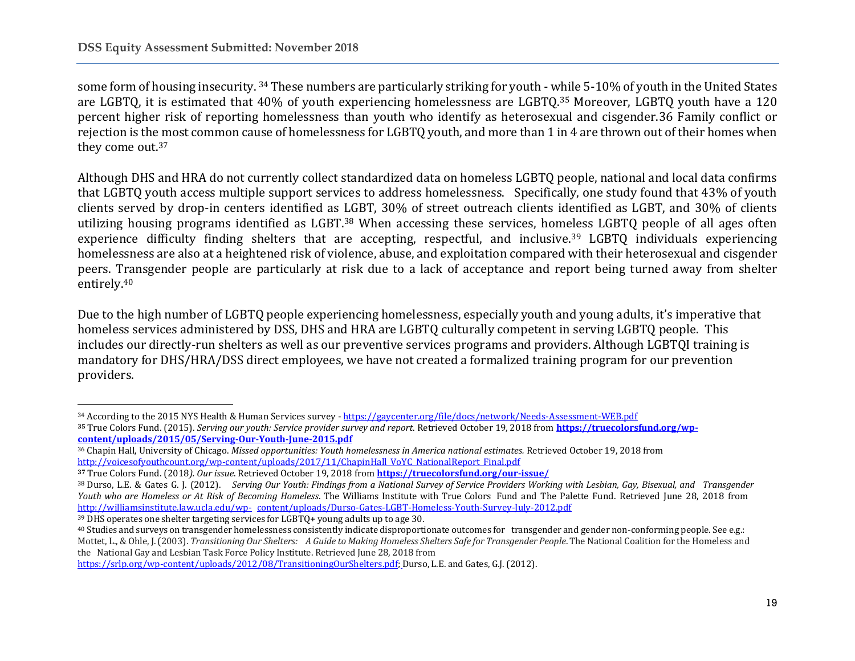some form of housing insecurity. <sup>34</sup> These numbers are particularly striking for youth - while 5-10% of youth in the United States are LGBTQ, it is estimated that 40% of youth experiencing homelessness are LGBTQ. <sup>35</sup> Moreover, LGBTQ youth have a 120 percent higher risk of reporting homelessness than youth who identify as heterosexual and cisgender.36 Family conflict or rejection is the most common cause of homelessness for LGBTQ youth, and more than 1 in 4 are thrown out of their homes when they come out.<sup>37</sup>

Although DHS and HRA do not currently collect standardized data on homeless LGBTQ people, national and local data confirms that LGBTQ youth access multiple support services to address homelessness. Specifically, one study found that 43% of youth clients served by drop-in centers identified as LGBT, 30% of street outreach clients identified as LGBT, and 30% of clients utilizing housing programs identified as LGBT. <sup>38</sup> When accessing these services, homeless LGBTQ people of all ages often experience difficulty finding shelters that are accepting, respectful, and inclusive.<sup>39</sup> LGBTQ individuals experiencing homelessness are also at a heightened risk of violence, abuse, and exploitation compared with their heterosexual and cisgender peers. Transgender people are particularly at risk due to a lack of acceptance and report being turned away from shelter entirely. 40

Due to the high number of LGBTQ people experiencing homelessness, especially youth and young adults, it's imperative that homeless services administered by DSS, DHS and HRA are LGBTQ culturally competent in serving LGBTQ people. This includes our directly-run shelters as well as our preventive services programs and providers. Although LGBTQI training is mandatory for DHS/HRA/DSS direct employees, we have not created a formalized training program for our prevention providers.

<sup>39</sup> DHS operates one shelter targeting services for LGBTQ+ young adults up to age 30.

 $\overline{\phantom{a}}$ <sup>34</sup> According to the 2015 NYS Health & Human Services survey - <https://gaycenter.org/file/docs/network/Needs-Assessment-WEB.pdf>

**<sup>35</sup>** True Colors Fund. (2015). *Serving our youth: Service provider survey and report*. Retrieved October 19, 2018 from **[https://truecolorsfund.org/wp](https://truecolorsfund.org/wp-content/uploads/2015/05/Serving-Our-Youth-June-2015.pdf)[content/uploads/2015/05/Serving-Our-Youth-June-2015.pdf](https://truecolorsfund.org/wp-content/uploads/2015/05/Serving-Our-Youth-June-2015.pdf)**

<sup>36</sup> Chapin Hall, University of Chicago. *Missed opportunities: Youth homelessness in America national estimates.* Retrieved October 19, 2018 from [http://voicesofyouthcount.org/wp-content/uploads/2017/11/ChapinHall\\_VoYC\\_NationalReport\\_Final.pdf](http://voicesofyouthcount.org/wp-content/uploads/2017/11/ChapinHall_VoYC_NationalReport_Final.pdf)

**<sup>37</sup>** True Colors Fund. (2018*). Our issue*. Retrieved October 19, 2018 from **<https://truecolorsfund.org/our-issue/>**

<sup>38</sup> Durso, L.E. & Gates G. J. (2012). Serving Our Youth: Findings from a National Survey of Service Providers Working with Lesbian, Gay, Bisexual, and Transgender *Youth who are Homeless or At Risk of Becoming Homeless*. The Williams Institute with True Colors Fund and The Palette Fund. Retrieved June 28, 2018 from <http://williamsinstitute.law.ucla.edu/wp-> content/uploads/Durso-Gates-LGBT-Homeless-Youth-Survey-July-2012.pdf

<sup>40</sup> Studies and surveys on transgender homelessness consistently indicate disproportionate outcomes for transgender and gender non-conforming people. See e.g.: Mottet, L., & Ohle, J. (2003). Transitioning Our Shelters: A Guide to Making Homeless Shelters Safe for Transgender People. The National Coalition for the Homeless and the National Gay and Lesbian Task Force Policy Institute. Retrieved June 28, 2018 from

[https://srlp.org/wp-content/uploads/2012/08/TransitioningOurShelters.pdf;](https://srlp.org/wp-content/uploads/2012/08/TransitioningOurShelters.pdf) Durso, L.E. and Gates, G.J. (2012).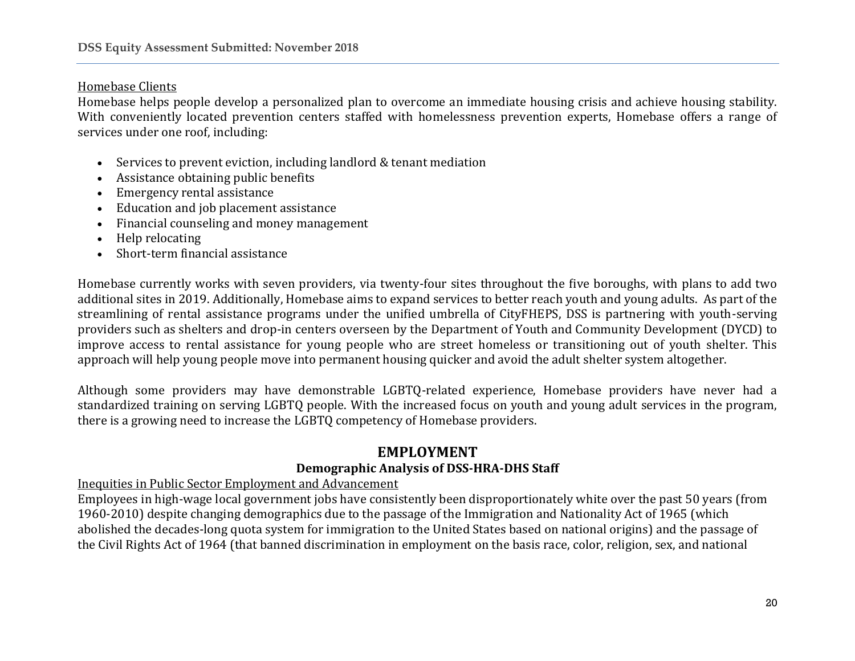### Homebase Clients

Homebase helps people develop a personalized plan to overcome an immediate housing crisis and achieve housing stability. With conveniently located prevention centers staffed with homelessness prevention experts, Homebase offers a range of services under one roof, including:

- Services to prevent eviction, including landlord & tenant mediation
- Assistance obtaining public benefits
- Emergency rental assistance
- Education and job placement assistance
- Financial counseling and money management
- Help relocating
- Short-term financial assistance

Homebase currently works with seven providers, via twenty-four sites throughout the five boroughs, with plans to add two additional sites in 2019. Additionally, Homebase aims to expand services to better reach youth and young adults. As part of the streamlining of rental assistance programs under the unified umbrella of CityFHEPS, DSS is partnering with youth-serving providers such as shelters and drop-in centers overseen by the Department of Youth and Community Development (DYCD) to improve access to rental assistance for young people who are street homeless or transitioning out of youth shelter. This approach will help young people move into permanent housing quicker and avoid the adult shelter system altogether.

Although some providers may have demonstrable LGBTQ-related experience, Homebase providers have never had a standardized training on serving LGBTQ people. With the increased focus on youth and young adult services in the program, there is a growing need to increase the LGBTQ competency of Homebase providers.

# **EMPLOYMENT**

### **Demographic Analysis of DSS-HRA-DHS Staff**

Inequities in Public Sector Employment and Advancement

Employees in high-wage local government jobs have consistently been disproportionately white over the past 50 years (from 1960-2010) despite changing demographics due to the passage of the Immigration and Nationality Act of 1965 (which abolished the decades-long quota system for immigration to the United States based on national origins) and the passage of the Civil Rights Act of 1964 (that banned discrimination in employment on the basis race, color, religion, sex, and national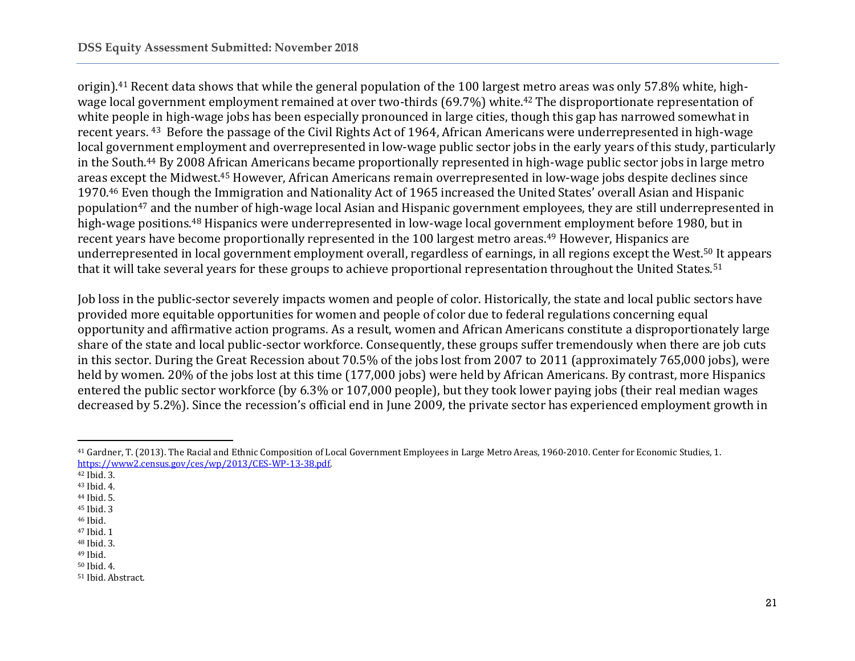origin).<sup>41</sup> Recent data shows that while the general population of the 100 largest metro areas was only 57.8% white, highwage local government employment remained at over two-thirds (69.7%) white.<sup>42</sup> The disproportionate representation of white people in high-wage jobs has been especially pronounced in large cities, though this gap has narrowed somewhat in recent years. 43 Before the passage of the Civil Rights Act of 1964, African Americans were underrepresented in high-wage local government employment and overrepresented in low-wage public sector jobs in the early years of this study, particularly in the South.<sup>44</sup> By 2008 African Americans became proportionally represented in high-wage public sector jobs in large metro areas except the Midwest.<sup>45</sup> However, African Americans remain overrepresented in low-wage jobs despite declines since 1970.<sup>46</sup> Even though the Immigration and Nationality Act of 1965 increased the United States' overall Asian and Hispanic population<sup>47</sup> and the number of high-wage local Asian and Hispanic government employees, they are still underrepresented in high-wage positions.<sup>48</sup> Hispanics were underrepresented in low-wage local government employment before 1980, but in recent years have become proportionally represented in the 100 largest metro areas.<sup>49</sup> However, Hispanics are underrepresented in local government employment overall, regardless of earnings, in all regions except the West.<sup>50</sup> It appears that it will take several years for these groups to achieve proportional representation throughout the United States.<sup>51</sup>

Job loss in the public-sector severely impacts women and people of color. Historically, the state and local public sectors have provided more equitable opportunities for women and people of color due to federal regulations concerning equal opportunity and affirmative action programs. As a result, women and African Americans constitute a disproportionately large share of the state and local public-sector workforce. Consequently, these groups suffer tremendously when there are job cuts in this sector. During the Great Recession about 70.5% of the jobs lost from 2007 to 2011 (approximately 765,000 jobs), were held by women. 20% of the jobs lost at this time (177,000 jobs) were held by African Americans. By contrast, more Hispanics entered the public sector workforce (by 6.3% or 107,000 people), but they took lower paying jobs (their real median wages decreased by 5.2%). Since the recession's official end in June 2009, the private sector has experienced employment growth in

 $\overline{\phantom{a}}$ 

<sup>41</sup> Gardner, T. (2013). The Racial and Ethnic Composition of Local Government Employees in Large Metro Areas, 1960-2010. Center for Economic Studies, 1. [https://www2.census.gov/ces/wp/2013/CES-WP-13-38.pdf.](https://www2.census.gov/ces/wp/2013/CES-WP-13-38.pdf) 

<sup>42</sup> Ibid. 3.

<sup>43</sup> Ibid. 4.

<sup>44</sup> Ibid. 5.

<sup>45</sup> Ibid. 3

<sup>46</sup> Ibid.

<sup>47</sup> Ibid. 1

<sup>48</sup> Ibid. 3.

<sup>49</sup> Ibid.

<sup>50</sup> Ibid. 4. <sup>51</sup> Ibid. Abstract.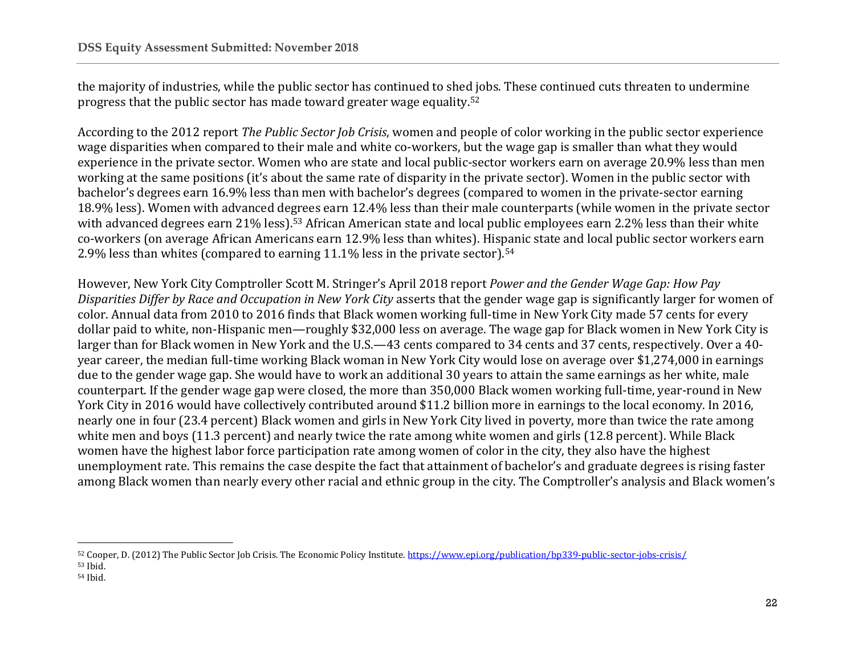the majority of industries, while the public sector has continued to shed jobs. These continued cuts threaten to undermine progress that the public sector has made toward greater wage equality.<sup>52</sup>

According to the 2012 report *The Public Sector Job Crisis*, women and people of color working in the public sector experience wage disparities when compared to their male and white co-workers, but the wage gap is smaller than what they would experience in the private sector. Women who are state and local public-sector workers earn on average 20.9% less than men working at the same positions (it's about the same rate of disparity in the private sector). Women in the public sector with bachelor's degrees earn 16.9% less than men with bachelor's degrees (compared to women in the private-sector earning 18.9% less). Women with advanced degrees earn 12.4% less than their male counterparts (while women in the private sector with advanced degrees earn 21% less).<sup>53</sup> African American state and local public employees earn 2.2% less than their white co-workers (on average African Americans earn 12.9% less than whites). Hispanic state and local public sector workers earn 2.9% less than whites (compared to earning 11.1% less in the private sector).<sup>54</sup>

However, New York City Comptroller Scott M. Stringer's April 2018 report *Power and the Gender Wage Gap: How Pay Disparities Differ by Race and Occupation in New York City* asserts that the gender wage gap is significantly larger for women of color. Annual data from 2010 to 2016 finds that Black women working full-time in New York City made 57 cents for every dollar paid to white, non-Hispanic men—roughly \$32,000 less on average. The wage gap for Black women in New York City is larger than for Black women in New York and the U.S.—43 cents compared to 34 cents and 37 cents, respectively. Over a 40 year career, the median full-time working Black woman in New York City would lose on average over \$1,274,000 in earnings due to the gender wage gap. She would have to work an additional 30 years to attain the same earnings as her white, male counterpart. If the gender wage gap were closed, the more than 350,000 Black women working full-time, year-round in New York City in 2016 would have collectively contributed around \$11.2 billion more in earnings to the local economy. In 2016, nearly one in four (23.4 percent) Black women and girls in New York City lived in poverty, more than twice the rate among white men and boys (11.3 percent) and nearly twice the rate among white women and girls (12.8 percent). While Black women have the highest labor force participation rate among women of color in the city, they also have the highest unemployment rate. This remains the case despite the fact that attainment of bachelor's and graduate degrees is rising faster among Black women than nearly every other racial and ethnic group in the city. The Comptroller's analysis and Black women's

 $\overline{a}$ 

<sup>52</sup> Cooper, D. (2012) The Public Sector Job Crisis. The Economic Policy Institute.<https://www.epi.org/publication/bp339-public-sector-jobs-crisis/> <sup>53</sup> Ibid.

<sup>54</sup> Ibid.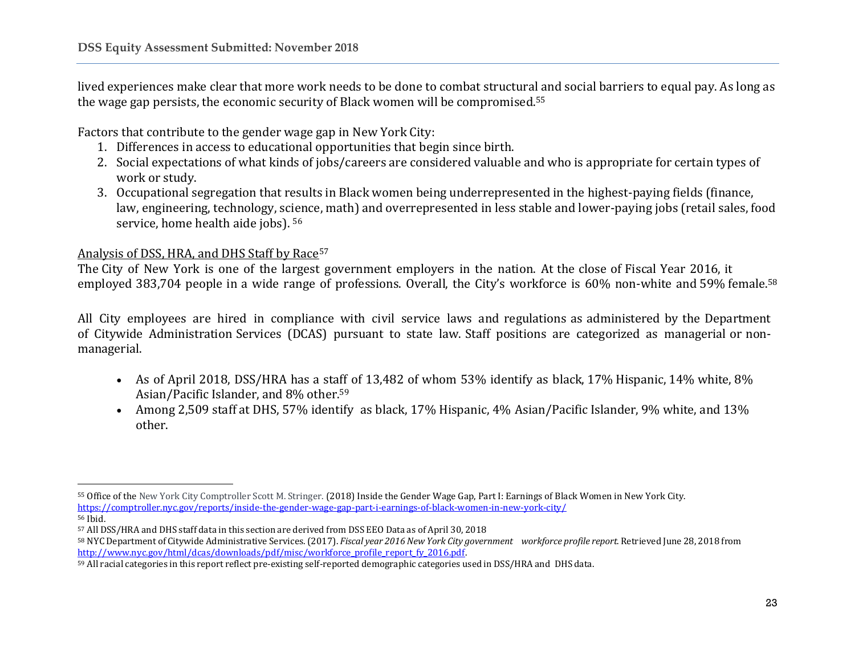lived experiences make clear that more work needs to be done to combat structural and social barriers to equal pay. As long as the wage gap persists, the economic security of Black women will be compromised.<sup>55</sup>

Factors that contribute to the gender wage gap in New York City:

- 1. Differences in access to educational opportunities that begin since birth.
- 2. Social expectations of what kinds of jobs/careers are considered valuable and who is appropriate for certain types of work or study.
- 3. Occupational segregation that results in Black women being underrepresented in the highest-paying fields (finance, law, engineering, technology, science, math) and overrepresented in less stable and lower-paying jobs (retail sales, food service, home health aide jobs). <sup>56</sup>

### Analysis of DSS, HRA, and DHS Staff by Race<sup>57</sup>

The City of New York is one of the largest government employers in the nation. At the close of Fiscal Year 2016, it employed 383,704 people in a wide range of professions. Overall, the City's workforce is 60% non-white and 59% female.<sup>58</sup>

All City employees are hired in compliance with civil service laws and regulations as administered by the Department of Citywide Administration Services (DCAS) pursuant to state law. Staff positions are categorized as managerial or nonmanagerial.

- As of April 2018, DSS/HRA has a staff of 13,482 of whom 53% identify as black, 17% Hispanic, 14% white, 8% Asian/Pacific Islander, and 8% other.<sup>59</sup>
- Among 2,509 staff at DHS, 57% identify as black, 17% Hispanic, 4% Asian/Pacific Islander, 9% white, and 13% other.

 $\overline{a}$ <sup>55</sup> Office of the New York City Comptroller Scott M. Stringer. (2018) Inside the Gender Wage Gap, Part I: Earnings of Black Women in New York City. <https://comptroller.nyc.gov/reports/inside-the-gender-wage-gap-part-i-earnings-of-black-women-in-new-york-city/> <sup>56</sup> Ibid.

<sup>57</sup> All DSS/HRA and DHS staff data in this section are derived from DSS EEO Data as of April 30, 2018

<sup>58</sup> NYC Department of Citywide Administrative Services. (2017). Fiscal year 2016 New York City aovernment workforce profile report. Retrieved June 28, 2018 from [http://www.nyc.gov/html/dcas/downloads/pdf/misc/workforce\\_profile\\_report\\_fy\\_2016.pdf.](http://www.nyc.gov/html/dcas/downloads/pdf/misc/workforce_profile_report_fy_2016.pdf)

<sup>59</sup> All racial categories in this report reflect pre-existing self-reported demographic categories used in DSS/HRA and DHS data.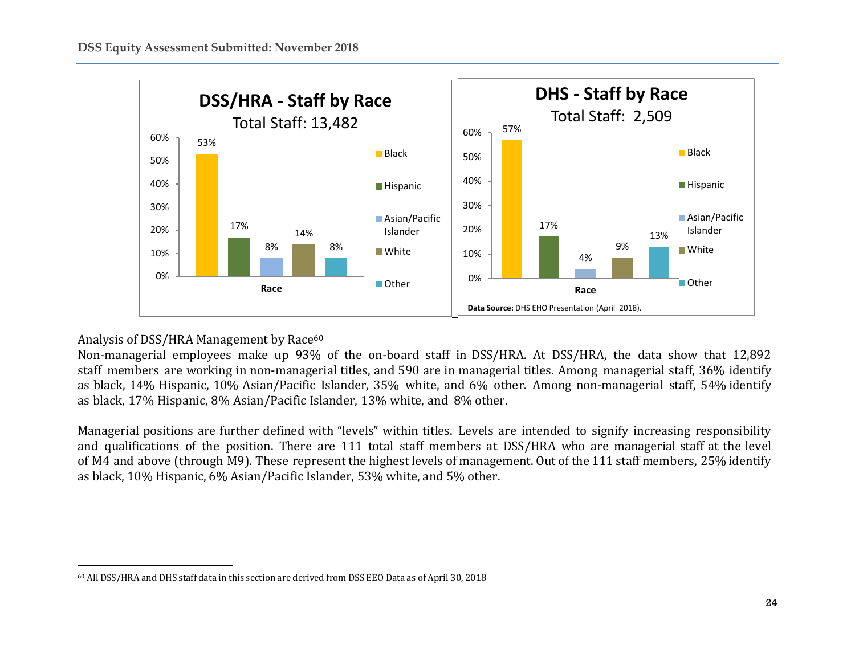

### Analysis of DSS/HRA Management by Race<sup>60</sup>

Non-managerial employees make up 93% of the on-board staff in DSS/HRA. At DSS/HRA, the data show that 12,892 staff members are working in non-managerial titles, and 590 are in managerial titles. Among managerial staff, 36% identify as black, 14% Hispanic, 10% Asian/Pacific Islander, 35% white, and 6% other. Among non-managerial staff, 54% identify as black, 17% Hispanic, 8% Asian/Pacific Islander, 13% white, and 8% other.

Managerial positions are further defined with "levels" within titles. Levels are intended to signify increasing responsibility and qualifications of the position. There are 111 total staff members at DSS/HRA who are managerial staff at the level of M4 and above (through M9). These represent the highest levels of management. Out of the 111 staff members, 25% identify as black, 10% Hispanic, 6% Asian/Pacific Islander, 53% white, and 5% other.

 $\overline{\phantom{a}}$ <sup>60</sup> All DSS/HRA and DHS staff data in this section are derived from DSS EEO Data as of April 30, 2018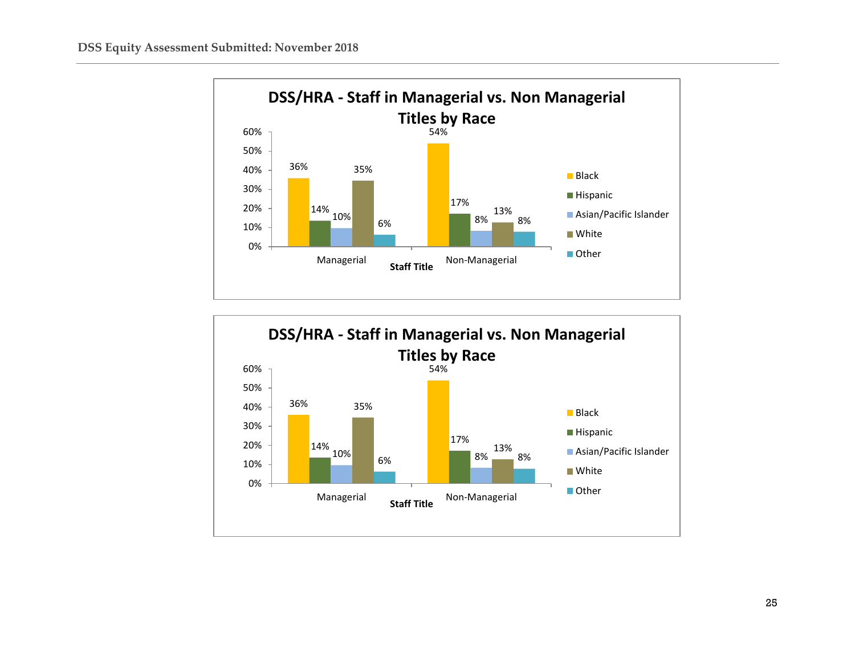

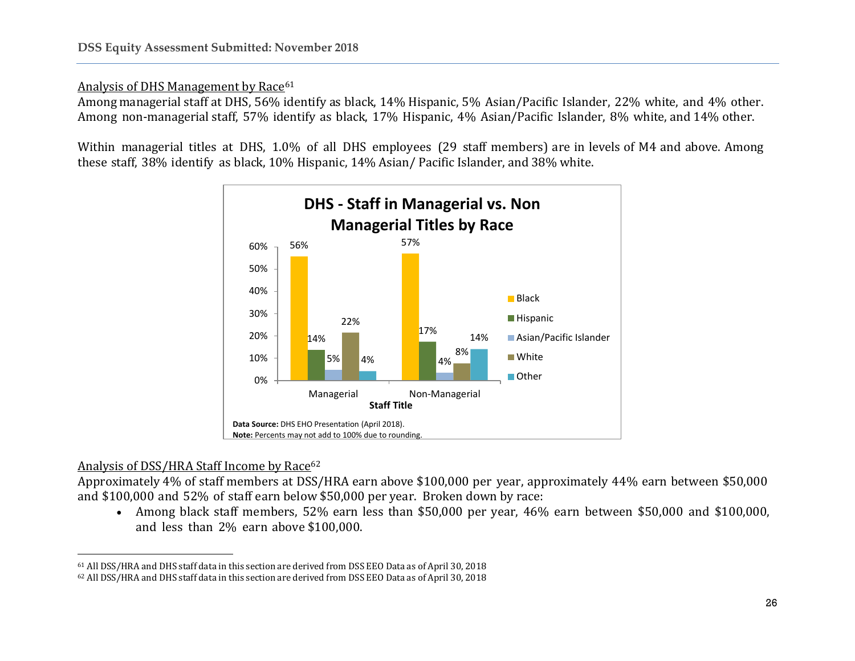### Analysis of DHS Management by Race<sup>61</sup>

Among managerial staff at DHS, 56% identify as black, 14% Hispanic, 5% Asian/Pacific Islander, 22% white, and 4% other. Among non-managerial staff, 57% identify as black, 17% Hispanic, 4% Asian/Pacific Islander, 8% white, and 14% other.

Within managerial titles at DHS, 1.0% of all DHS employees (29 staff members) are in levels of M4 and above. Among these staff, 38% identify as black, 10% Hispanic, 14% Asian/ Pacific Islander, and 38% white.



### Analysis of DSS/HRA Staff Income by Race<sup>62</sup>

l

Approximately 4% of staff members at DSS/HRA earn above \$100,000 per year, approximately 44% earn between \$50,000 and \$100,000 and 52% of staff earn below \$50,000 per year. Broken down by race:

• Among black staff members, 52% earn less than \$50,000 per year, 46% earn between \$50,000 and \$100,000, and less than 2% earn above \$100,000.

<sup>61</sup> All DSS/HRA and DHS staff data in this section are derived from DSS EEO Data as of April 30, 2018

<sup>62</sup> All DSS/HRA and DHS staff data in this section are derived from DSS EEO Data as of April 30, 2018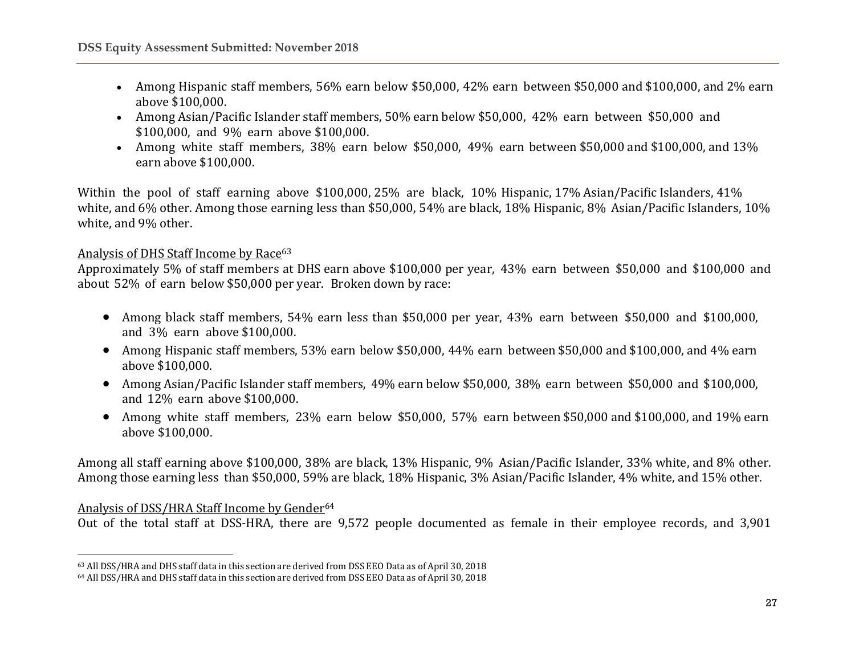- Among Hispanic staff members, 56% earn below \$50,000, 42% earn between \$50,000 and \$100,000, and 2% earn above \$100,000.
- Among Asian/Pacific Islander staff members, 50% earn below \$50,000, 42% earn between \$50,000 and \$100,000, and 9% earn above \$100,000.
- Among white staff members, 38% earn below \$50,000, 49% earn between \$50,000 and \$100,000, and 13% earn above \$100,000.

Within the pool of staff earning above \$100,000, 25% are black, 10% Hispanic, 17% Asian/Pacific Islanders, 41% white, and 6% other. Among those earning less than \$50,000, 54% are black, 18% Hispanic, 8% Asian/Pacific Islanders, 10% white, and 9% other.

### Analysis of DHS Staff Income by Race<sup>63</sup>

Approximately 5% of staff members at DHS earn above \$100,000 per year, 43% earn between \$50,000 and \$100,000 and about 52% of earn below \$50,000 per year. Broken down by race:

- Among black staff members, 54% earn less than \$50,000 per year, 43% earn between \$50,000 and \$100,000, and 3% earn above \$100,000.
- Among Hispanic staff members, 53% earn below \$50,000, 44% earn between \$50,000 and \$100,000, and 4% earn above \$100,000.
- Among Asian/Pacific Islander staff members, 49% earn below \$50,000, 38% earn between \$50,000 and \$100,000, and 12% earn above \$100,000.
- Among white staff members, 23% earn below \$50,000, 57% earn between \$50,000 and \$100,000, and 19% earn above \$100,000.

Among all staff earning above \$100,000, 38% are black, 13% Hispanic, 9% Asian/Pacific Islander, 33% white, and 8% other. Among those earning less than \$50,000, 59% are black, 18% Hispanic, 3% Asian/Pacific Islander, 4% white, and 15% other.

### Analysis of DSS/HRA Staff Income by Gender<sup>64</sup>

l

Out of the total staff at DSS-HRA, there are 9,572 people documented as female in their employee records, and 3,901

<sup>63</sup> All DSS/HRA and DHS staff data in this section are derived from DSS EEO Data as of April 30, 2018

<sup>64</sup> All DSS/HRA and DHS staff data in this section are derived from DSS EEO Data as of April 30, 2018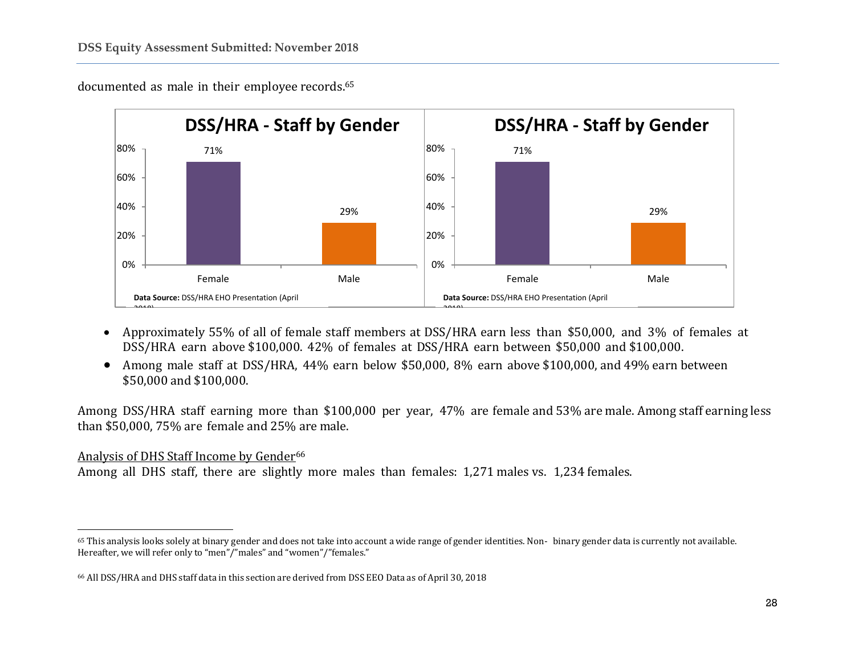

documented as male in their employee records.<sup>65</sup>

- Approximately 55% of all of female staff members at DSS/HRA earn less than \$50,000, and 3% of females at DSS/HRA earn above \$100,000. 42% of females at DSS/HRA earn between \$50,000 and \$100,000.
- Among male staff at DSS/HRA, 44% earn below \$50,000, 8% earn above \$100,000, and 49% earn between \$50,000 and \$100,000.

Among DSS/HRA staff earning more than \$100,000 per year, 47% are female and 53% are male. Among staff earning less than \$50,000, 75% are female and 25% are male.

### Analysis of DHS Staff Income by Gender<sup>66</sup>

 $\overline{\phantom{a}}$ 

Among all DHS staff, there are slightly more males than females: 1,271 males vs. 1,234 females.

<sup>65</sup> This analysis looks solely at binary gender and does not take into account a wide range of gender identities. Non- binary gender data is currently not available. Hereafter, we will refer only to "men"/"males" and "women"/"females."

<sup>66</sup> All DSS/HRA and DHS staff data in this section are derived from DSS EEO Data as of April 30, 2018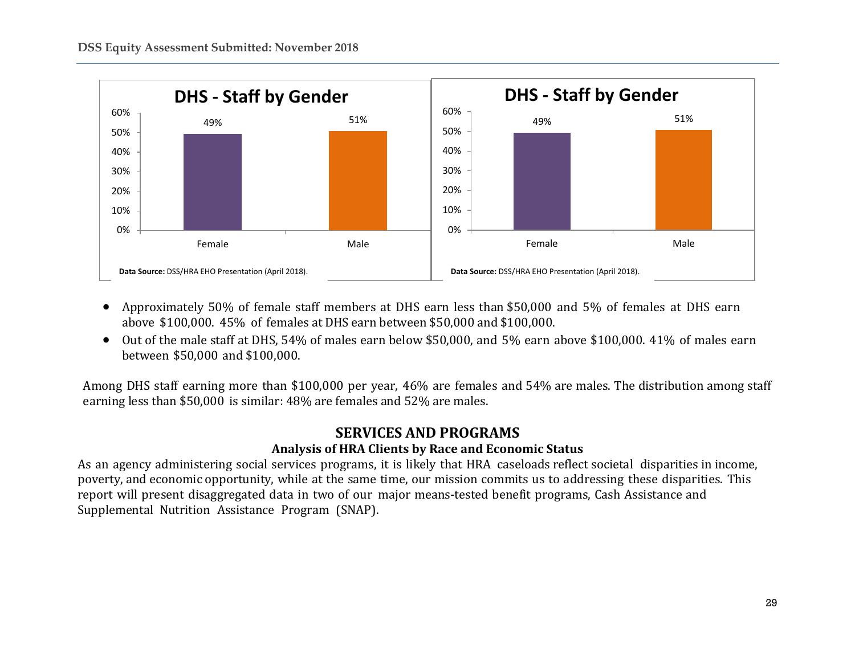

- Approximately 50% of female staff members at DHS earn less than \$50,000 and 5% of females at DHS earn above \$100,000. 45% of females at DHS earn between \$50,000 and \$100,000.
- Out of the male staff at DHS, 54% of males earn below \$50,000, and 5% earn above \$100,000. 41% of males earn between \$50,000 and \$100,000.

Among DHS staff earning more than \$100,000 per year, 46% are females and 54% are males. The distribution among staff earning less than \$50,000 is similar: 48% are females and 52% are males.

### **SERVICES AND PROGRAMS Analysis of HRA Clients by Race and Economic Status**

As an agency administering social services programs, it is likely that HRA caseloads reflect societal disparities in income, poverty, and economic opportunity, while at the same time, our mission commits us to addressing these disparities. This report will present disaggregated data in two of our major means-tested benefit programs, Cash Assistance and Supplemental Nutrition Assistance Program (SNAP).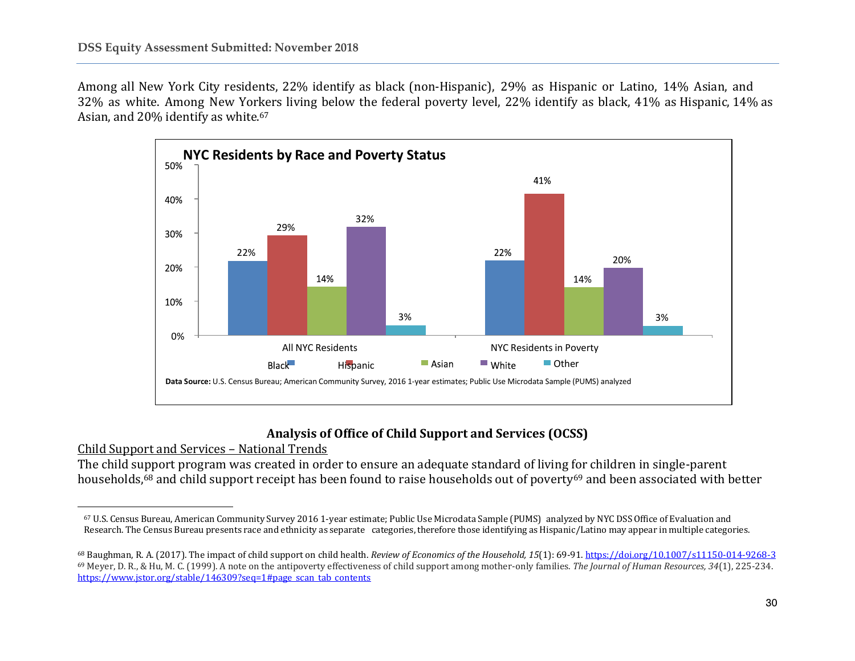Among all New York City residents, 22% identify as black (non-Hispanic), 29% as Hispanic or Latino, 14% Asian, and 32% as white. Among New Yorkers living below the federal poverty level, 22% identify as black, 41% as Hispanic, 14% as Asian, and 20% identify as white.<sup>67</sup>



### **Analysis of Office of Child Support and Services (OCSS)**

Child Support and Services – National Trends

 $\overline{\phantom{a}}$ 

The child support program was created in order to ensure an adequate standard of living for children in single-parent households,<sup>68</sup> and child support receipt has been found to raise households out of poverty<sup>69</sup> and been associated with better

<sup>67</sup> U.S. Census Bureau, American Community Survey 2016 1-year estimate; Public Use Microdata Sample (PUMS) analyzed by NYC DSS Office of Evaluation and Research. The Census Bureau presents race and ethnicity as separate categories, therefore those identifying as Hispanic/Latino may appear in multiple categories.

<sup>68</sup> Baughman, R. A. (2017). The impact of child support on child health. *Review of Economics of the Household, 15*(1): 69-91[. https://doi.org/10.1007/s11150-014-9268-3](https://doi.org/10.1007/s11150-014-9268-3) <sup>69</sup> Meyer, D. R., & Hu, M. C. (1999). A note on the antipoverty effectiveness of child support among mother-only families. *The Journal of Human Resources, 34*(1), 225-234. [https://www.jstor.org/stable/146309?seq=1#page\\_scan\\_tab\\_contents](https://www.jstor.org/stable/146309?seq=1#page_scan_tab_contents)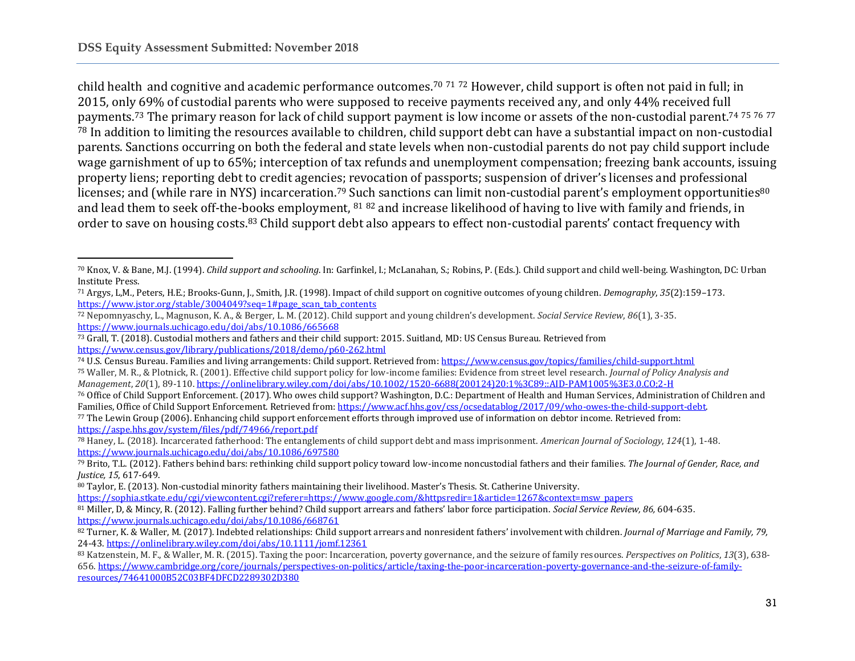$\overline{\phantom{a}}$ 

child health and cognitive and academic performance outcomes.<sup>70</sup> <sup>71</sup> <sup>72</sup> However, child support is often not paid in full; in 2015, only 69% of custodial parents who were supposed to receive payments received any, and only 44% received full payments.<sup>73</sup> The primary reason for lack of child support payment is low income or assets of the non-custodial parent.<sup>74 75 76 77</sup> <sup>78</sup> In addition to limiting the resources available to children, child support debt can have a substantial impact on non-custodial parents. Sanctions occurring on both the federal and state levels when non-custodial parents do not pay child support include wage garnishment of up to 65%; interception of tax refunds and unemployment compensation; freezing bank accounts, issuing property liens; reporting debt to credit agencies; revocation of passports; suspension of driver's licenses and professional licenses; and (while rare in NYS) incarceration.<sup>79</sup> Such sanctions can limit non-custodial parent's employment opportunities<sup>80</sup> and lead them to seek off-the-books employment, <sup>81</sup> <sup>82</sup> and increase likelihood of having to live with family and friends, in order to save on housing costs.<sup>83</sup> Child support debt also appears to effect non-custodial parents' contact frequency with

<sup>72</sup> Nepomnyaschy, L., Magnuson, K. A., & Berger, L. M. (2012). Child support and young children's development. *Social Service Review*, *86*(1), 3-35. <https://www.journals.uchicago.edu/doi/abs/10.1086/665668>

<sup>70</sup> Knox, V. & Bane, M.J. (1994). *Child support and schooling*. In: Garfinkel, I.; McLanahan, S.; Robins, P. (Eds.). Child support and child well-being. Washington, DC: Urban Institute Press.

<sup>71</sup> Argys, L,M., Peters, H.E.; Brooks-Gunn, J., Smith, J.R. (1998). Impact of child support on cognitive outcomes of young children. *Demography*, *35*(2):159–173. [https://www.jstor.org/stable/3004049?seq=1#page\\_scan\\_tab\\_contents](https://www.jstor.org/stable/3004049?seq=1#page_scan_tab_contents)

<sup>73</sup> Grall, T. (2018). Custodial mothers and fathers and their child support: 2015. Suitland, MD: US Census Bureau. Retrieved from <https://www.census.gov/library/publications/2018/demo/p60-262.html>

<sup>74</sup> U.S. Census Bureau. Families and living arrangements: Child support. Retrieved from:<https://www.census.gov/topics/families/child-support.html>

<sup>75</sup> Waller, M. R., & Plotnick, R. (2001). Effective child support policy for low-income families: Evidence from street level research. *Journal of Policy Analysis and Management*, *20*(1), 89-110[. https://onlinelibrary.wiley.com/doi/abs/10.1002/1520-6688\(200124\)20:1%3C89::AID-PAM1005%3E3.0.CO;2-H](https://onlinelibrary.wiley.com/doi/abs/10.1002/1520-6688(200124)20:1%3C89::AID-PAM1005%3E3.0.CO;2-H)

<sup>76</sup> Office of Child Support Enforcement. (2017). Who owes child support? Washington, D.C.: Department of Health and Human Services, Administration of Children and Families, Office of Child Support Enforcement. Retrieved from: [https://www.acf.hhs.gov/css/ocsedatablog/2017/09/who-owes-the-child-support-debt.](https://www.acf.hhs.gov/css/ocsedatablog/2017/09/who-owes-the-child-support-debt)

<sup>77</sup> The Lewin Group (2006). Enhancing child support enforcement efforts through improved use of information on debtor income. Retrieved from: <https://aspe.hhs.gov/system/files/pdf/74966/report.pdf>

<sup>78</sup> Haney, L. (2018). Incarcerated fatherhood: The entanglements of child support debt and mass imprisonment. *American Journal of Sociology*, *124*(1), 1-48. <https://www.journals.uchicago.edu/doi/abs/10.1086/697580>

<sup>79</sup> Brito, T.L. (2012). Fathers behind bars: rethinking child support policy toward low-income noncustodial fathers and their families. *The Journal of Gender, Race, and Justice, 15*, 617-649.

<sup>80</sup> Taylor, E. (2013). Non-custodial minority fathers maintaining their livelihood. Master's Thesis. St. Catherine University.

[https://sophia.stkate.edu/cgi/viewcontent.cgi?referer=https://www.google.com/&httpsredir=1&article=1267&context=msw\\_papers](https://sophia.stkate.edu/cgi/viewcontent.cgi?referer=https://www.google.com/&httpsredir=1&article=1267&context=msw_papers)

<sup>81</sup> Miller, D, & Mincy, R. (2012). Falling further behind? Child support arrears and fathers' labor force participation. *Social Service Review, 86,* 604-635. <https://www.journals.uchicago.edu/doi/abs/10.1086/668761>

<sup>82</sup> Turner, K. & Waller, M. (2017). Indebted relationships: Child support arrears and nonresident fathers' involvement with children. *Journal of Marriage and Family, 79,* 24-43[. https://onlinelibrary.wiley.com/doi/abs/10.1111/jomf.12361](https://onlinelibrary.wiley.com/doi/abs/10.1111/jomf.12361)

<sup>83</sup> Katzenstein, M. F., & Waller, M. R. (2015). Taxing the poor: Incarceration, poverty governance, and the seizure of family resources. *Perspectives on Politics*, *13*(3), 638- 656. [https://www.cambridge.org/core/journals/perspectives-on-politics/article/taxing-the-poor-incarceration-poverty-governance-and-the-seizure-of-family](https://www.cambridge.org/core/journals/perspectives-on-politics/article/taxing-the-poor-incarceration-poverty-governance-and-the-seizure-of-family-resources/74641000B52C03BF4DFCD2289302D380)[resources/74641000B52C03BF4DFCD2289302D380](https://www.cambridge.org/core/journals/perspectives-on-politics/article/taxing-the-poor-incarceration-poverty-governance-and-the-seizure-of-family-resources/74641000B52C03BF4DFCD2289302D380)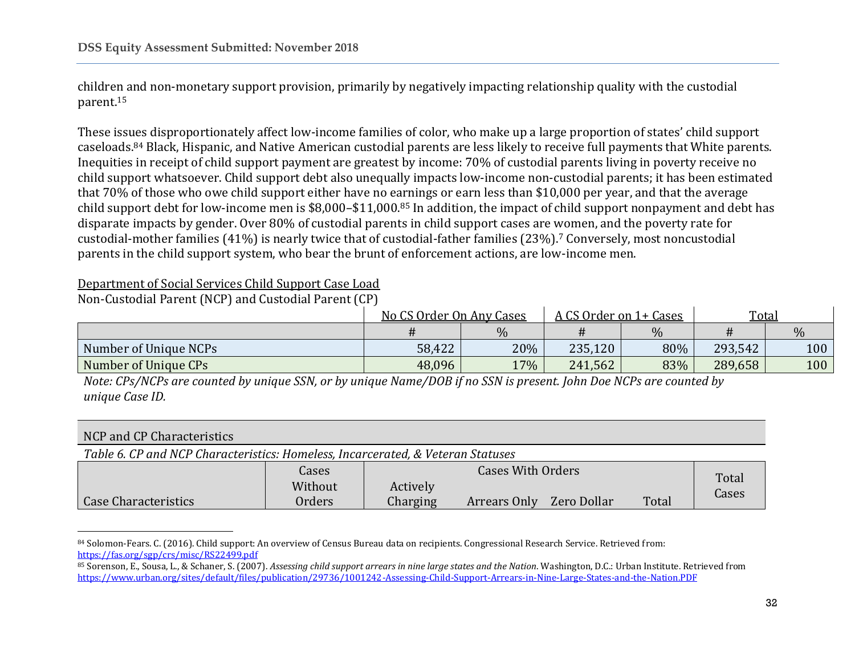children and non-monetary support provision, primarily by negatively impacting relationship quality with the custodial parent. 15

These issues disproportionately affect low-income families of color, who make up a large proportion of states' child support caseloads. <sup>84</sup> Black, Hispanic, and Native American custodial parents are less likely to receive full payments that White parents. Inequities in receipt of child support payment are greatest by income: 70% of custodial parents living in poverty receive no child support whatsoever. Child support debt also unequally impacts low-income non-custodial parents; it has been estimated that 70% of those who owe child support either have no earnings or earn less than \$10,000 per year, and that the average child support debt for low-income men is \$8,000–\$11,000.<sup>85</sup> In addition, the impact of child support nonpayment and debt has disparate impacts by gender. Over 80% of custodial parents in child support cases are women, and the poverty rate for custodial-mother families (41%) is nearly twice that of custodial-father families (23%).<sup>7</sup> Conversely, most noncustodial parents in the child support system, who bear the brunt of enforcement actions, are low-income men.

### Department of Social Services Child Support Case Load

Non-Custodial Parent (NCP) and Custodial Parent (CP)

 $\overline{\phantom{a}}$ 

|                       | No CS Order On Any Cases |      | A CS Order on 1+ Cases |      | Total   |      |
|-----------------------|--------------------------|------|------------------------|------|---------|------|
|                       |                          | $\%$ |                        | $\%$ |         | $\%$ |
| Number of Unique NCPs | 58,422                   | 20%  | 235,120                | 80%  | 293,542 | 100  |
| Number of Unique CPs  | 48,096                   | 17%  | 241,562                | 83%  | 289,658 | 100  |

*Note: CPs/NCPs are counted by unique SSN, or by unique Name/DOB if no SSN is present. John Doe NCPs are counted by unique Case ID.*

| NCP and CP Characteristics                                                      |              |                          |              |             |       |       |  |
|---------------------------------------------------------------------------------|--------------|--------------------------|--------------|-------------|-------|-------|--|
| Table 6. CP and NCP Characteristics: Homeless, Incarcerated, & Veteran Statuses |              |                          |              |             |       |       |  |
|                                                                                 | <b>Cases</b> | <b>Cases With Orders</b> |              |             |       | Total |  |
|                                                                                 | Without      | Actively                 |              |             |       | Cases |  |
| Case Characteristics                                                            | Orders       | Charging                 | Arrears Only | Zero Dollar | Total |       |  |

<sup>84</sup> Solomon-Fears. C. (2016). Child support: An overview of Census Bureau data on recipients. Congressional Research Service. Retrieved from: <https://fas.org/sgp/crs/misc/RS22499.pdf>

<sup>85</sup> Sorenson, E., Sousa, L., & Schaner, S. (2007). *Assessing child support arrears in nine large states and the Nation*. Washington, D.C.: Urban Institute. Retrieved from <https://www.urban.org/sites/default/files/publication/29736/1001242-Assessing-Child-Support-Arrears-in-Nine-Large-States-and-the-Nation.PDF>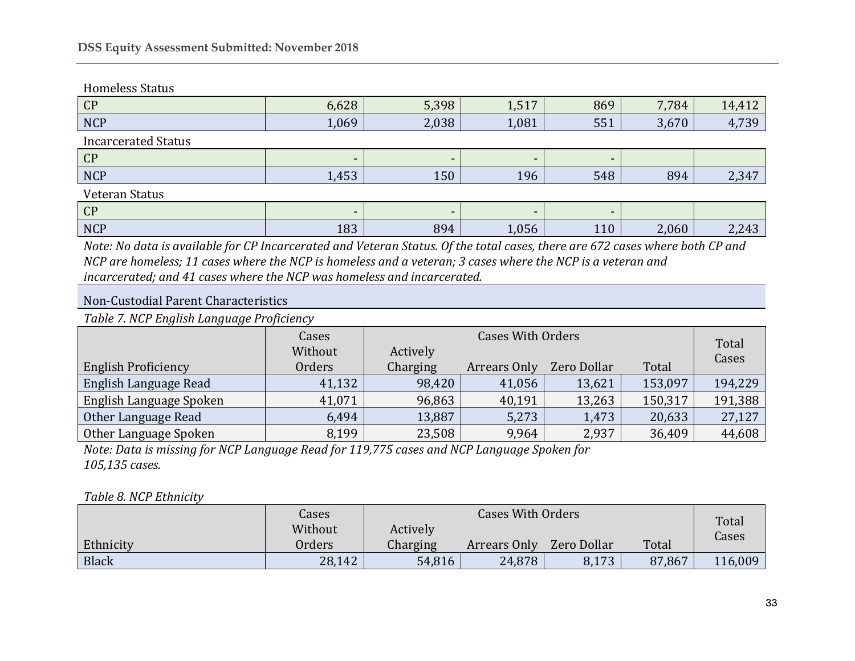### Homeless Status

| CP                         | 6,628 | 5,398                    | 1,517                    | 869 | 7,784 | 14,412 |  |  |  |
|----------------------------|-------|--------------------------|--------------------------|-----|-------|--------|--|--|--|
| <b>NCP</b>                 | 1,069 | 2,038                    | 1,081                    | 551 | 3,670 | 4,739  |  |  |  |
| <b>Incarcerated Status</b> |       |                          |                          |     |       |        |  |  |  |
| CP                         |       | $\overline{\phantom{0}}$ | $\overline{\phantom{a}}$ |     |       |        |  |  |  |
| <b>NCP</b>                 | 1,453 | 150                      | 196                      | 548 | 894   | 2,347  |  |  |  |
| Veteran Status             |       |                          |                          |     |       |        |  |  |  |
| CP                         |       | $\overline{\phantom{0}}$ | -                        |     |       |        |  |  |  |
| <b>NCP</b>                 | 183   | 894                      | 1,056                    | 110 | 2,060 | 2,243  |  |  |  |

*Note: No data is available for CP Incarcerated and Veteran Status. Of the total cases, there are 672 cases where both CP and NCP are homeless; 11 cases where the NCP is homeless and a veteran; 3 cases where the NCP is a veteran and incarcerated; and 41 cases where the NCP was homeless and incarcerated.*

## Non-Custodial Parent Characteristics

*Table 7. NCP English Language Proficiency*

|                              | Cases<br>Without | <b>Cases With Orders</b><br>Actively |              |             |         | Total   |
|------------------------------|------------------|--------------------------------------|--------------|-------------|---------|---------|
| <b>English Proficiency</b>   | Orders           | Charging                             | Arrears Only | Zero Dollar | Total   | Cases   |
| <b>English Language Read</b> | 41,132           | 98,420                               | 41,056       | 13,621      | 153,097 | 194,229 |
| English Language Spoken      | 41,071           | 96,863                               | 40,191       | 13,263      | 150,317 | 191,388 |
| Other Language Read          | 6,494            | 13,887                               | 5,273        | 1,473       | 20,633  | 27,127  |
| Other Language Spoken        | 8,199            | 23,508                               | 9,964        | 2,937       | 36,409  | 44,608  |

*Note: Data is missing for NCP Language Read for 119,775 cases and NCP Language Spoken for 105,135 cases.*

### *Table 8. NCP Ethnicity*

|           | Cases   | <b>Cases With Orders</b> |              |             |        | Total   |
|-----------|---------|--------------------------|--------------|-------------|--------|---------|
|           | Without | Actively                 |              |             |        | Cases   |
| Ethnicity | Orders  | Charging                 | Arrears Only | Zero Dollar | Total  |         |
| Black     | 28,142  | 54,816                   | 24,878       | 8,173       | 87,867 | 116,009 |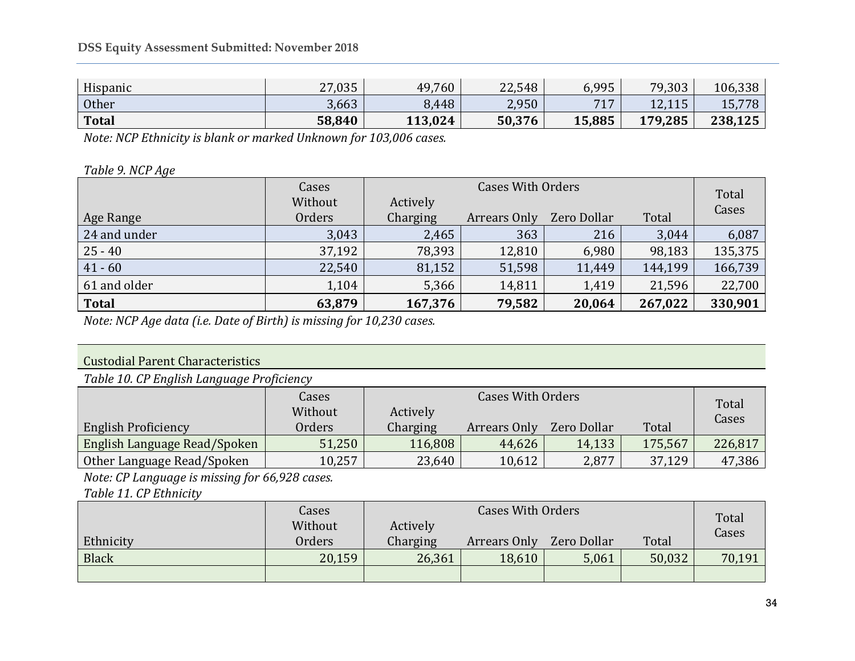| <b>Total</b> | 58,840 | 113,024 | 50,376 | 15,885         | 179,285        | 238,125 |
|--------------|--------|---------|--------|----------------|----------------|---------|
| Other        | 3,663  | 8,448   | 2,950  | 717<br>$\perp$ | 1211<br>14.110 | 15,778  |
| Hispanic     | 27,035 | 49,760  | 22,548 | 6,995          | 79,303         | 106,338 |

*Note: NCP Ethnicity is blank or marked Unknown for 103,006 cases.*

### *Table 9. NCP Age*

|              | Cases   | <b>Cases With Orders</b> |              |             |         | Total   |
|--------------|---------|--------------------------|--------------|-------------|---------|---------|
|              | Without | Actively                 |              |             |         | Cases   |
| Age Range    | Orders  | Charging                 | Arrears Only | Zero Dollar | Total   |         |
| 24 and under | 3,043   | 2,465                    | 363          | 216         | 3,044   | 6,087   |
| $25 - 40$    | 37,192  | 78,393                   | 12,810       | 6,980       | 98,183  | 135,375 |
| $41 - 60$    | 22,540  | 81,152                   | 51,598       | 11,449      | 144,199 | 166,739 |
| 61 and older | 1,104   | 5,366                    | 14,811       | 1,419       | 21,596  | 22,700  |
| <b>Total</b> | 63,879  | 167,376                  | 79,582       | 20,064      | 267,022 | 330,901 |

*Note: NCP Age data (i.e. Date of Birth) is missing for 10,230 cases.*

## Custodial Parent Characteristics

*Table 10. CP English Language Proficiency*

|                              | Cases   |          | Total        |             |         |         |
|------------------------------|---------|----------|--------------|-------------|---------|---------|
|                              | Without | Actively |              |             |         | Cases   |
| <b>English Proficiency</b>   | Orders  | Charging | Arrears Only | Zero Dollar | Total   |         |
| English Language Read/Spoken | 51,250  | 116,808  | 44,626       | 14,133      | 175,567 | 226,817 |
| Other Language Read/Spoken   | 10,257  | 23,640   | 10,612       | 2,877       | 37,129  | 47,386  |

*Note: CP Language is missing for 66,928 cases.*

*Table 11. CP Ethnicity*

|              | Cases   | <b>Cases With Orders</b><br>Actively |              |             |        | Total  |
|--------------|---------|--------------------------------------|--------------|-------------|--------|--------|
|              | Without |                                      |              |             |        | Cases  |
| Ethnicity    | Orders  | Charging                             | Arrears Only | Zero Dollar | Total  |        |
| <b>Black</b> | 20,159  | 26,361                               | 18,610       | 5,061       | 50,032 | 70,191 |
|              |         |                                      |              |             |        |        |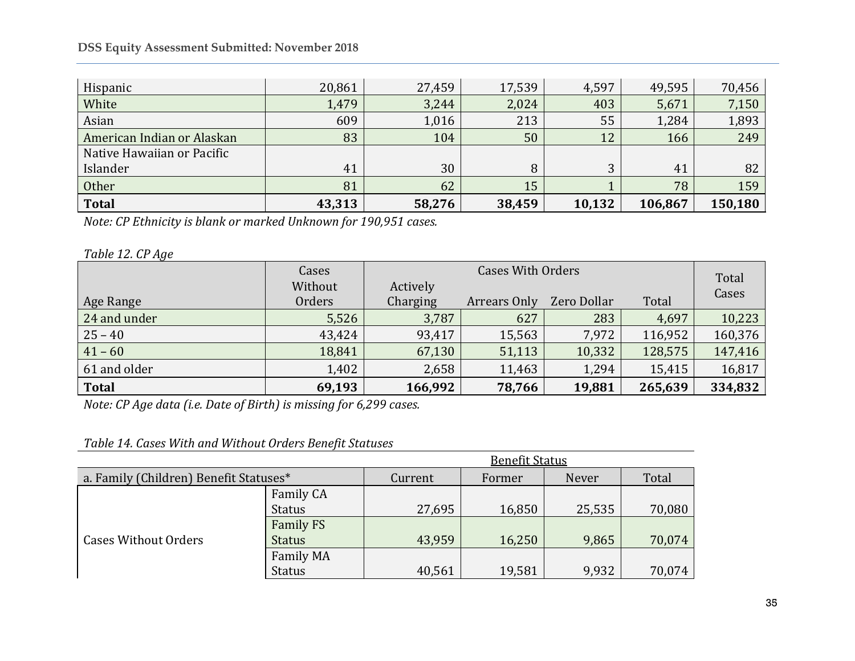### **DSS Equity Assessment Submitted: November 2018**

| Hispanic                   | 20,861 | 27,459 | 17,539 | 4,597  | 49,595  | 70,456  |
|----------------------------|--------|--------|--------|--------|---------|---------|
| White                      | 1,479  | 3,244  | 2,024  | 403    | 5,671   | 7,150   |
| Asian                      | 609    | 1,016  | 213    | 55     | 1,284   | 1,893   |
| American Indian or Alaskan | 83     | 104    | 50     | 12     | 166     | 249     |
| Native Hawaiian or Pacific |        |        |        |        |         |         |
| Islander                   | 41     | 30     | 8      | 3      | 41      | 82      |
| Other                      | 81     | 62     | 15     |        | 78      | 159     |
| <b>Total</b>               | 43,313 | 58,276 | 38,459 | 10,132 | 106,867 | 150,180 |

*Note: CP Ethnicity is blank or marked Unknown for 190,951 cases.*

*Table 12. CP Age*

|              | Cases   | <b>Cases With Orders</b> |              |             |         | Total   |
|--------------|---------|--------------------------|--------------|-------------|---------|---------|
|              | Without | Actively                 |              |             |         | Cases   |
| Age Range    | Orders  | Charging                 | Arrears Only | Zero Dollar | Total   |         |
| 24 and under | 5,526   | 3,787                    | 627          | 283         | 4,697   | 10,223  |
| $25 - 40$    | 43,424  | 93,417                   | 15,563       | 7,972       | 116,952 | 160,376 |
| $41 - 60$    | 18,841  | 67,130                   | 51,113       | 10,332      | 128,575 | 147,416 |
| 61 and older | 1,402   | 2,658                    | 11,463       | 1,294       | 15,415  | 16,817  |
| <b>Total</b> | 69,193  | 166,992                  | 78,766       | 19,881      | 265,639 | 334,832 |

*Note: CP Age data (i.e. Date of Birth) is missing for 6,299 cases.*

### *Table 14. Cases With and Without Orders Benefit Statuses*

|                                        |                  | <b>Benefit Status</b> |        |        |        |  |  |
|----------------------------------------|------------------|-----------------------|--------|--------|--------|--|--|
| a. Family (Children) Benefit Statuses* |                  | Current               | Former | Never  | Total  |  |  |
| <b>Cases Without Orders</b>            | Family CA        |                       |        |        |        |  |  |
|                                        | <b>Status</b>    | 27,695                | 16,850 | 25,535 | 70,080 |  |  |
|                                        | <b>Family FS</b> |                       |        |        |        |  |  |
|                                        | <b>Status</b>    | 43,959                | 16,250 | 9,865  | 70,074 |  |  |
|                                        | <b>Family MA</b> |                       |        |        |        |  |  |
|                                        | <b>Status</b>    | 40,561                | 19,581 | 9,932  | 70,074 |  |  |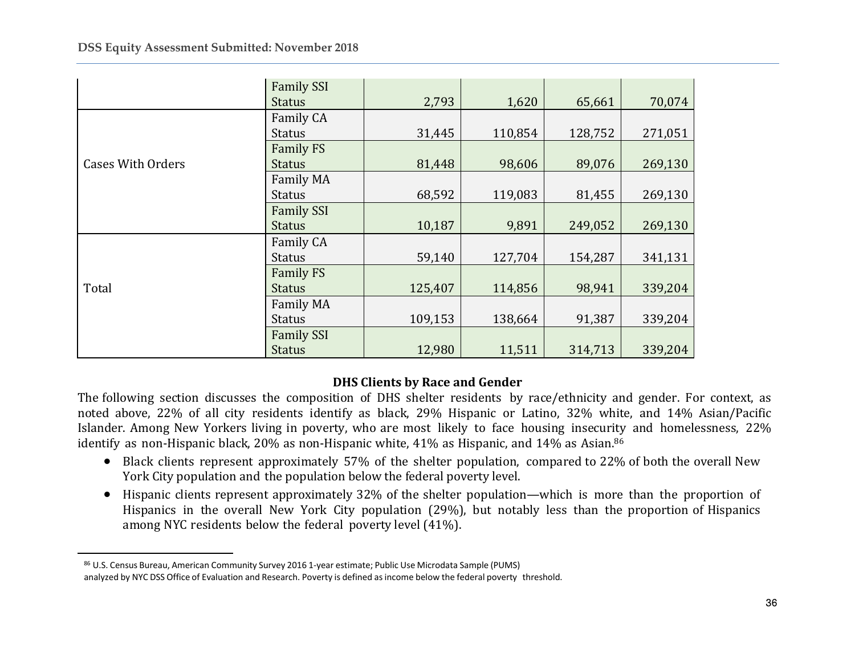|                          | <b>Family SSI</b> |         |         |         |         |
|--------------------------|-------------------|---------|---------|---------|---------|
|                          | <b>Status</b>     | 2,793   | 1,620   | 65,661  | 70,074  |
|                          | Family CA         |         |         |         |         |
|                          | <b>Status</b>     | 31,445  | 110,854 | 128,752 | 271,051 |
|                          | <b>Family FS</b>  |         |         |         |         |
| <b>Cases With Orders</b> | <b>Status</b>     | 81,448  | 98,606  | 89,076  | 269,130 |
|                          | Family MA         |         |         |         |         |
|                          | <b>Status</b>     | 68,592  | 119,083 | 81,455  | 269,130 |
|                          | <b>Family SSI</b> |         |         |         |         |
|                          | <b>Status</b>     | 10,187  | 9,891   | 249,052 | 269,130 |
| Total                    | Family CA         |         |         |         |         |
|                          | <b>Status</b>     | 59,140  | 127,704 | 154,287 | 341,131 |
|                          | <b>Family FS</b>  |         |         |         |         |
|                          | <b>Status</b>     | 125,407 | 114,856 | 98,941  | 339,204 |
|                          | Family MA         |         |         |         |         |
|                          | <b>Status</b>     | 109,153 | 138,664 | 91,387  | 339,204 |
|                          | <b>Family SSI</b> |         |         |         |         |
|                          | <b>Status</b>     | 12,980  | 11,511  | 314,713 | 339,204 |

### **DHS Clients by Race and Gender**

The following section discusses the composition of DHS shelter residents by race/ethnicity and gender. For context, as noted above, 22% of all city residents identify as black, 29% Hispanic or Latino, 32% white, and 14% Asian/Pacific Islander. Among New Yorkers living in poverty, who are most likely to face housing insecurity and homelessness, 22% identify as non-Hispanic black, 20% as non-Hispanic white, 41% as Hispanic, and 14% as Asian.<sup>86</sup>

- Black clients represent approximately 57% of the shelter population, compared to 22% of both the overall New York City population and the population below the federal poverty level.
- Hispanic clients represent approximately 32% of the shelter population—which is more than the proportion of Hispanics in the overall New York City population (29%), but notably less than the proportion of Hispanics among NYC residents below the federal poverty level (41%).

 $\overline{a}$ 

<sup>86</sup> U.S. Census Bureau, American Community Survey 2016 1-year estimate; Public Use Microdata Sample (PUMS)

analyzed by NYC DSS Office of Evaluation and Research. Poverty is defined asincome below the federal poverty threshold.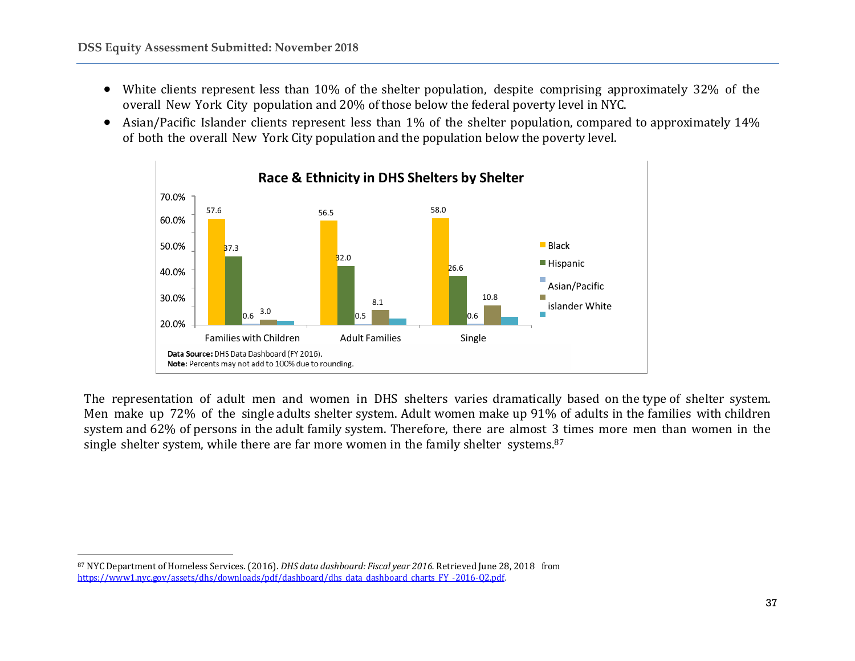l

- White clients represent less than 10% of the shelter population, despite comprising approximately 32% of the overall New York City population and 20% of those below the federal poverty level in NYC.
- Asian/Pacific Islander clients represent less than 1% of the shelter population, compared to approximately 14% of both the overall New York City population and the population below the poverty level.



The representation of adult men and women in DHS shelters varies dramatically based on the type of shelter system. Men make up 72% of the single adults shelter system. Adult women make up 91% of adults in the families with children system and 62% of persons in the adult family system. Therefore, there are almost 3 times more men than women in the single shelter system, while there are far more women in the family shelter systems.<sup>87</sup>

<sup>87</sup> NYC Department of Homeless Services.(2016). *DHS data dashboard: Fiscal year 2016.* Retrieved June 28, 2018 from [https://www1.nyc.gov/assets/dhs/downloads/pdf/dashboard/dhs\\_data\\_dashboard\\_charts\\_FY](https://www1.nyc.gov/assets/dhs/downloads/pdf/dashboard/dhs_data_dashboard_charts_FY-2016-Q2.pdf) -2016-Q2.pdf.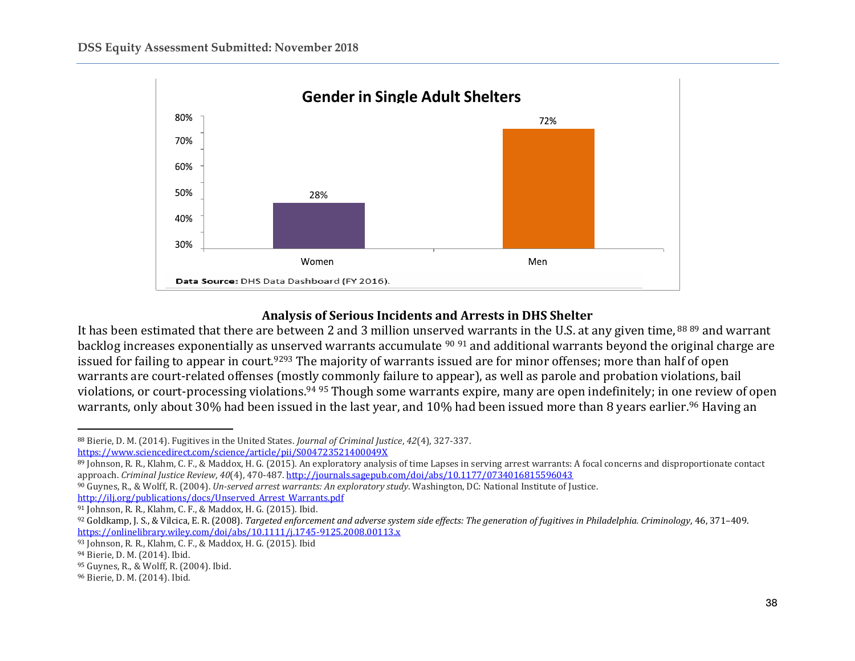

### **Analysis of Serious Incidents and Arrests in DHS Shelter**

It has been estimated that there are between 2 and 3 million unserved warrants in the U.S. at any given time, <sup>88 89</sup> and warrant backlog increases exponentially as unserved warrants accumulate <sup>90</sup> <sup>91</sup> and additional warrants beyond the original charge are issued for failing to appear in court.<sup>9293</sup> The majority of warrants issued are for minor offenses; more than half of open warrants are court-related offenses (mostly commonly failure to appear), as well as parole and probation violations, bail violations, or court-processing violations.<sup>94</sup> <sup>95</sup> Though some warrants expire, many are open indefinitely; in one review of open warrants, only about 30% had been issued in the last year, and 10% had been issued more than 8 years earlier.<sup>96</sup> Having an

 $\overline{\phantom{a}}$ 

<sup>88</sup> Bierie, D. M. (2014). Fugitives in the United States. *Journal of Criminal Justice*, *42*(4), 327-337.

<https://www.sciencedirect.com/science/article/pii/S004723521400049X>

<sup>89</sup> Johnson, R. R., Klahm, C. F., & Maddox, H. G. (2015). An exploratory analysis of time Lapses in serving arrest warrants: A focal concerns and disproportionate contact approach. *Criminal Justice Review*, *40*(4), 470-487[. http://journals.sagepub.com/doi/abs/10.1177/0734016815596043](http://journals.sagepub.com/doi/abs/10.1177/0734016815596043)

<sup>90</sup> Guynes, R., & Wolff, R. (2004). *Un-served arrest warrants: An exploratory study*. Washington, DC: National Institute of Justice.

[http://ilj.org/publications/docs/Unserved\\_Arrest\\_Warrants.pdf](http://ilj.org/publications/docs/Unserved_Arrest_Warrants.pdf)

<sup>91</sup> Johnson, R. R., Klahm, C. F., & Maddox, H. G. (2015). Ibid.

<sup>92</sup> Goldkamp, J. S., & Vilcica, E. R. (2008). *Targeted enforcement and adverse system side effects: The generation of fugitives in Philadelphia. Criminology*, 46, 371–409. <https://onlinelibrary.wiley.com/doi/abs/10.1111/j.1745-9125.2008.00113.x>

<sup>93</sup> Johnson, R. R., Klahm, C. F., & Maddox, H. G. (2015). Ibid

<sup>94</sup> Bierie, D. M. (2014). Ibid.

<sup>95</sup> Guynes, R., & Wolff, R. (2004). Ibid.

<sup>96</sup> Bierie, D. M. (2014). Ibid.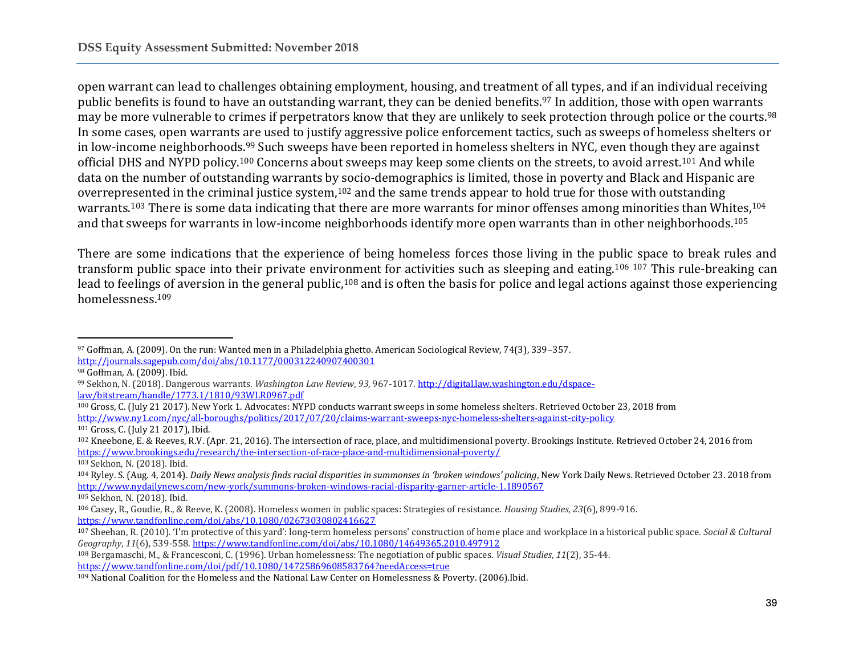open warrant can lead to challenges obtaining employment, housing, and treatment of all types, and if an individual receiving public benefits is found to have an outstanding warrant, they can be denied benefits.<sup>97</sup> In addition, those with open warrants may be more vulnerable to crimes if perpetrators know that they are unlikely to seek protection through police or the courts.<sup>98</sup> In some cases, open warrants are used to justify aggressive police enforcement tactics, such as sweeps of homeless shelters or in low-income neighborhoods.<sup>99</sup> Such sweeps have been reported in homeless shelters in NYC, even though they are against official DHS and NYPD policy.<sup>100</sup> Concerns about sweeps may keep some clients on the streets, to avoid arrest.<sup>101</sup> And while data on the number of outstanding warrants by socio-demographics is limited, those in poverty and Black and Hispanic are overrepresented in the criminal justice system,<sup>102</sup> and the same trends appear to hold true for those with outstanding warrants.<sup>103</sup> There is some data indicating that there are more warrants for minor offenses among minorities than Whites.<sup>104</sup> and that sweeps for warrants in low-income neighborhoods identify more open warrants than in other neighborhoods.<sup>105</sup>

There are some indications that the experience of being homeless forces those living in the public space to break rules and transform public space into their private environment for activities such as sleeping and eating.<sup>106</sup> <sup>107</sup> This rule-breaking can lead to feelings of aversion in the general public,<sup>108</sup> and is often the basis for police and legal actions against those experiencing homelessness.<sup>109</sup>

 $\overline{\phantom{a}}$ 

<sup>103</sup> Sekhon, N. (2018). Ibid.

<sup>105</sup> Sekhon, N. (2018). Ibid.

<sup>97</sup> Goffman, A. (2009). On the run: Wanted men in a Philadelphia ghetto. American Sociological Review, 74(3), 339–357. <http://journals.sagepub.com/doi/abs/10.1177/000312240907400301>

<sup>98</sup> Goffman, A. (2009). Ibid.

<sup>99</sup> Sekhon, N. (2018). Dangerous warrants. *Washington Law Review*, *93*, 967-1017[. http://digital.law.washington.edu/dspace](http://digital.law.washington.edu/dspace-law/bitstream/handle/1773.1/1810/93WLR0967.pdf)[law/bitstream/handle/1773.1/1810/93WLR0967.pdf](http://digital.law.washington.edu/dspace-law/bitstream/handle/1773.1/1810/93WLR0967.pdf)

<sup>100</sup> Gross, C. (July 21 2017). New York 1. Advocates: NYPD conducts warrant sweeps in some homeless shelters. Retrieved October 23, 2018 from <http://www.ny1.com/nyc/all-boroughs/politics/2017/07/20/claims-warrant-sweeps-nyc-homeless-shelters-against-city-policy> <sup>101</sup> Gross, C. (July 21 2017), Ibid.

<sup>102</sup> Kneebone, E. & Reeves, R.V. (Apr. 21, 2016). The intersection of race, place, and multidimensional poverty. Brookings Institute. Retrieved October 24, 2016 from <https://www.brookings.edu/research/the-intersection-of-race-place-and-multidimensional-poverty/>

<sup>104</sup> Ryley. S. (Aug. 4, 2014). *Daily News analysis finds racial disparities in summonses in 'broken windows' policing*, New York Daily News. Retrieved October 23. 2018 from <http://www.nydailynews.com/new-york/summons-broken-windows-racial-disparity-garner-article-1.1890567>

<sup>106</sup> Casey, R., Goudie, R., & Reeve, K. (2008). Homeless women in public spaces: Strategies of resistance. *Housing Studies*, *23*(6), 899-916. <https://www.tandfonline.com/doi/abs/10.1080/02673030802416627>

<sup>107</sup> Sheehan, R. (2010). 'I'm protective of this yard': long-term homeless persons' construction of home place and workplace in a historical public space. *Social & Cultural Geography*, *11*(6), 539-558[. https://www.tandfonline.com/doi/abs/10.1080/14649365.2010.497912](https://www.tandfonline.com/doi/abs/10.1080/14649365.2010.497912)

<sup>108</sup> Bergamaschi, M., & Francesconi, C. (1996). Urban homelessness: The negotiation of public spaces. *Visual Studies*, *11*(2), 35-44. <https://www.tandfonline.com/doi/pdf/10.1080/14725869608583764?needAccess=true>

<sup>109</sup> National Coalition for the Homeless and the National Law Center on Homelessness & Poverty. (2006).Ibid.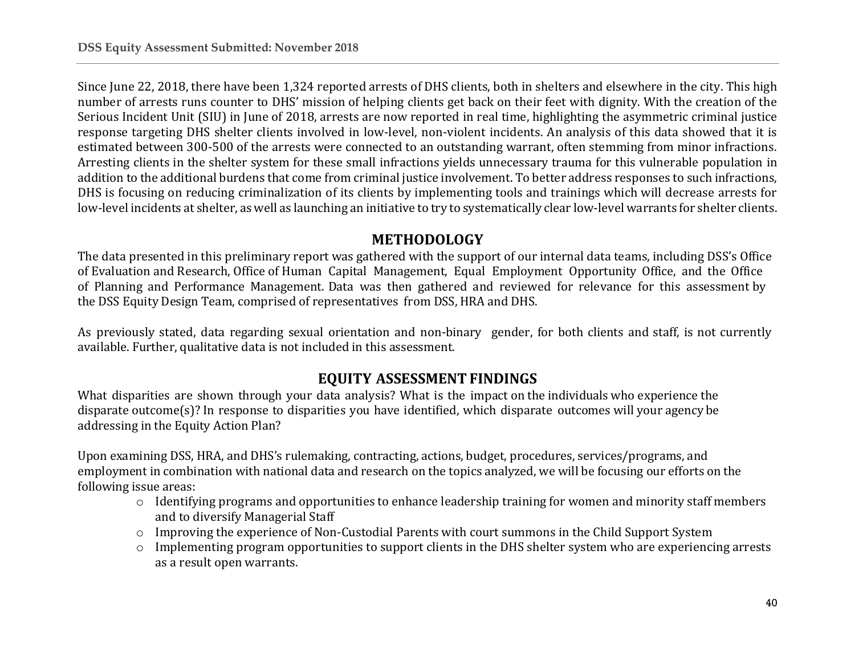Since June 22, 2018, there have been 1,324 reported arrests of DHS clients, both in shelters and elsewhere in the city. This high number of arrests runs counter to DHS' mission of helping clients get back on their feet with dignity. With the creation of the Serious Incident Unit (SIU) in June of 2018, arrests are now reported in real time, highlighting the asymmetric criminal justice response targeting DHS shelter clients involved in low-level, non-violent incidents. An analysis of this data showed that it is estimated between 300-500 of the arrests were connected to an outstanding warrant, often stemming from minor infractions. Arresting clients in the shelter system for these small infractions yields unnecessary trauma for this vulnerable population in addition to the additional burdens that come from criminal justice involvement. To better address responses to such infractions, DHS is focusing on reducing criminalization of its clients by implementing tools and trainings which will decrease arrests for low-level incidents at shelter, as well as launching an initiative to try to systematically clear low-level warrants for shelter clients.

### **METHODOLOGY**

The data presented in this preliminary report was gathered with the support of our internal data teams, including DSS's Office of Evaluation and Research, Office of Human Capital Management, Equal Employment Opportunity Office, and the Office of Planning and Performance Management. Data was then gathered and reviewed for relevance for this assessment by the DSS Equity Design Team, comprised of representatives from DSS, HRA and DHS.

As previously stated, data regarding sexual orientation and non-binary gender, for both clients and staff, is not currently available. Further, qualitative data is not included in this assessment.

# **EQUITY ASSESSMENT FINDINGS**

What disparities are shown through your data analysis? What is the impact on the individuals who experience the disparate outcome(s)? In response to disparities you have identified, which disparate outcomes will your agency be addressing in the Equity Action Plan?

Upon examining DSS, HRA, and DHS's rulemaking, contracting, actions, budget, procedures, services/programs, and employment in combination with national data and research on the topics analyzed, we will be focusing our efforts on the following issue areas:

- o Identifying programs and opportunities to enhance leadership training for women and minority staff members and to diversify Managerial Staff
- o Improving the experience of Non-Custodial Parents with court summons in the Child Support System
- $\circ$  Implementing program opportunities to support clients in the DHS shelter system who are experiencing arrests as a result open warrants.